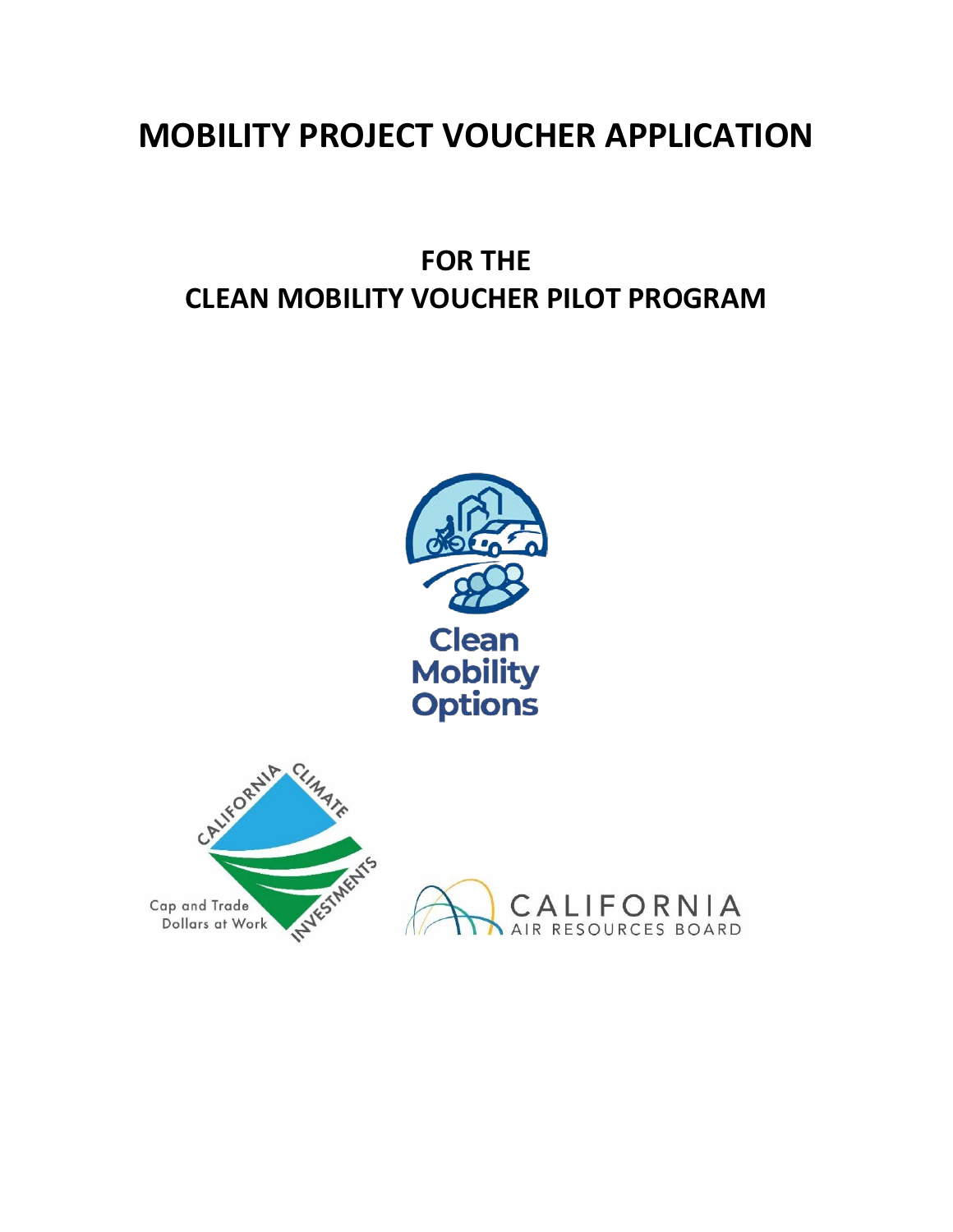# **MOBILITY PROJECT VOUCHER APPLICATION**

# **FOR THE CLEAN MOBILITY VOUCHER PILOT PROGRAM**

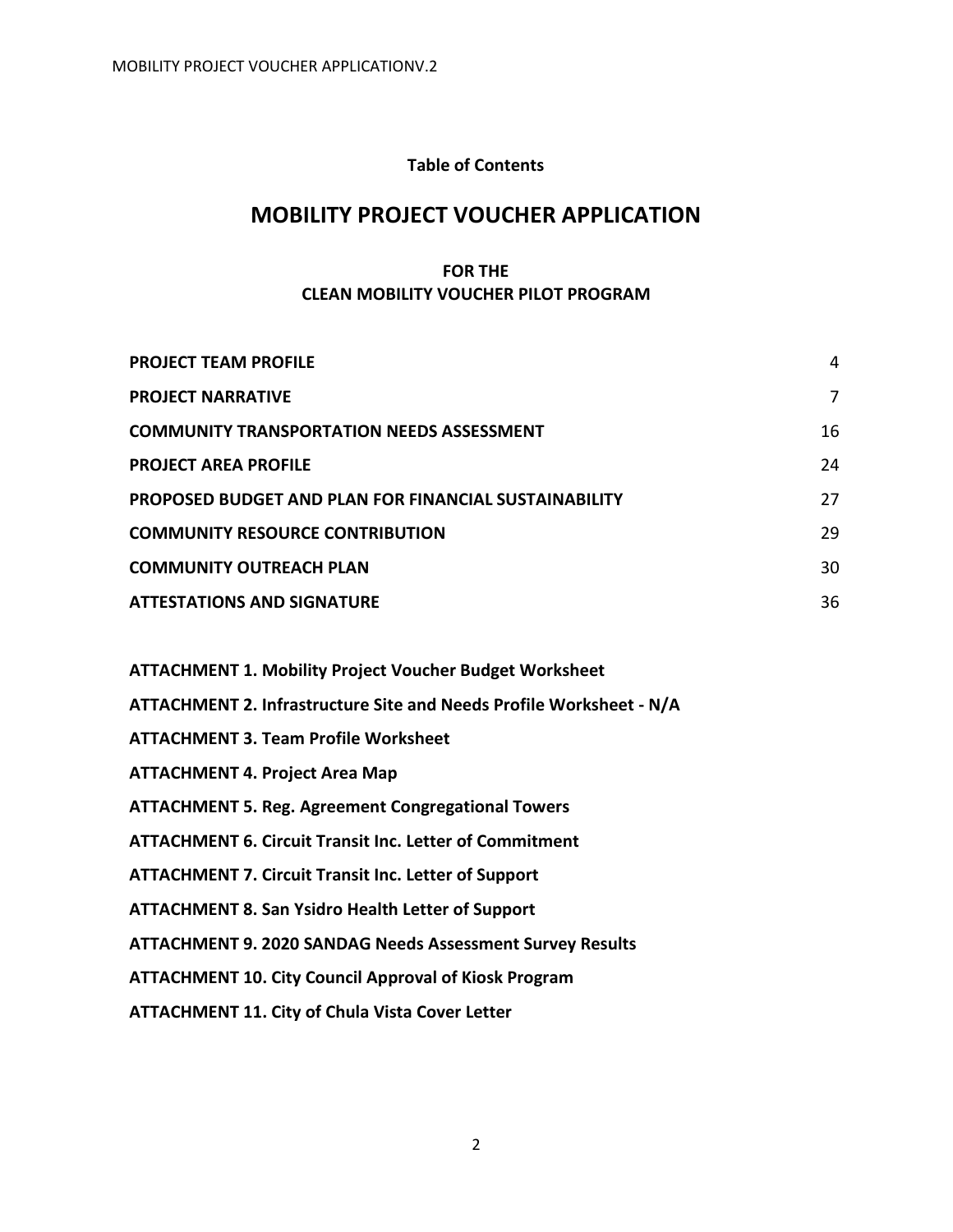## **Table of Contents**

# **MOBILITY PROJECT VOUCHER APPLICATION**

## **FOR THE CLEAN MOBILITY VOUCHER PILOT PROGRAM**

| <b>PROJECT TEAM PROFILE</b>                                  | 4  |
|--------------------------------------------------------------|----|
| <b>PROJECT NARRATIVE</b>                                     | 7  |
| <b>COMMUNITY TRANSPORTATION NEEDS ASSESSMENT</b>             | 16 |
| <b>PROJECT AREA PROFILE</b>                                  | 24 |
| <b>PROPOSED BUDGET AND PLAN FOR FINANCIAL SUSTAINABILITY</b> | 27 |
| <b>COMMUNITY RESOURCE CONTRIBUTION</b>                       | 29 |
| <b>COMMUNITY OUTREACH PLAN</b>                               | 30 |
| <b>ATTESTATIONS AND SIGNATURE</b>                            | 36 |

| <b>ATTACHMENT 1. Mobility Project Voucher Budget Worksheet</b>      |
|---------------------------------------------------------------------|
| ATTACHMENT 2. Infrastructure Site and Needs Profile Worksheet - N/A |
| <b>ATTACHMENT 3. Team Profile Worksheet</b>                         |
| <b>ATTACHMENT 4. Project Area Map</b>                               |
| <b>ATTACHMENT 5. Reg. Agreement Congregational Towers</b>           |
| <b>ATTACHMENT 6. Circuit Transit Inc. Letter of Commitment</b>      |
| <b>ATTACHMENT 7. Circuit Transit Inc. Letter of Support</b>         |
| <b>ATTACHMENT 8. San Ysidro Health Letter of Support</b>            |
| <b>ATTACHMENT 9. 2020 SANDAG Needs Assessment Survey Results</b>    |
| <b>ATTACHMENT 10. City Council Approval of Kiosk Program</b>        |
| <b>ATTACHMENT 11. City of Chula Vista Cover Letter</b>              |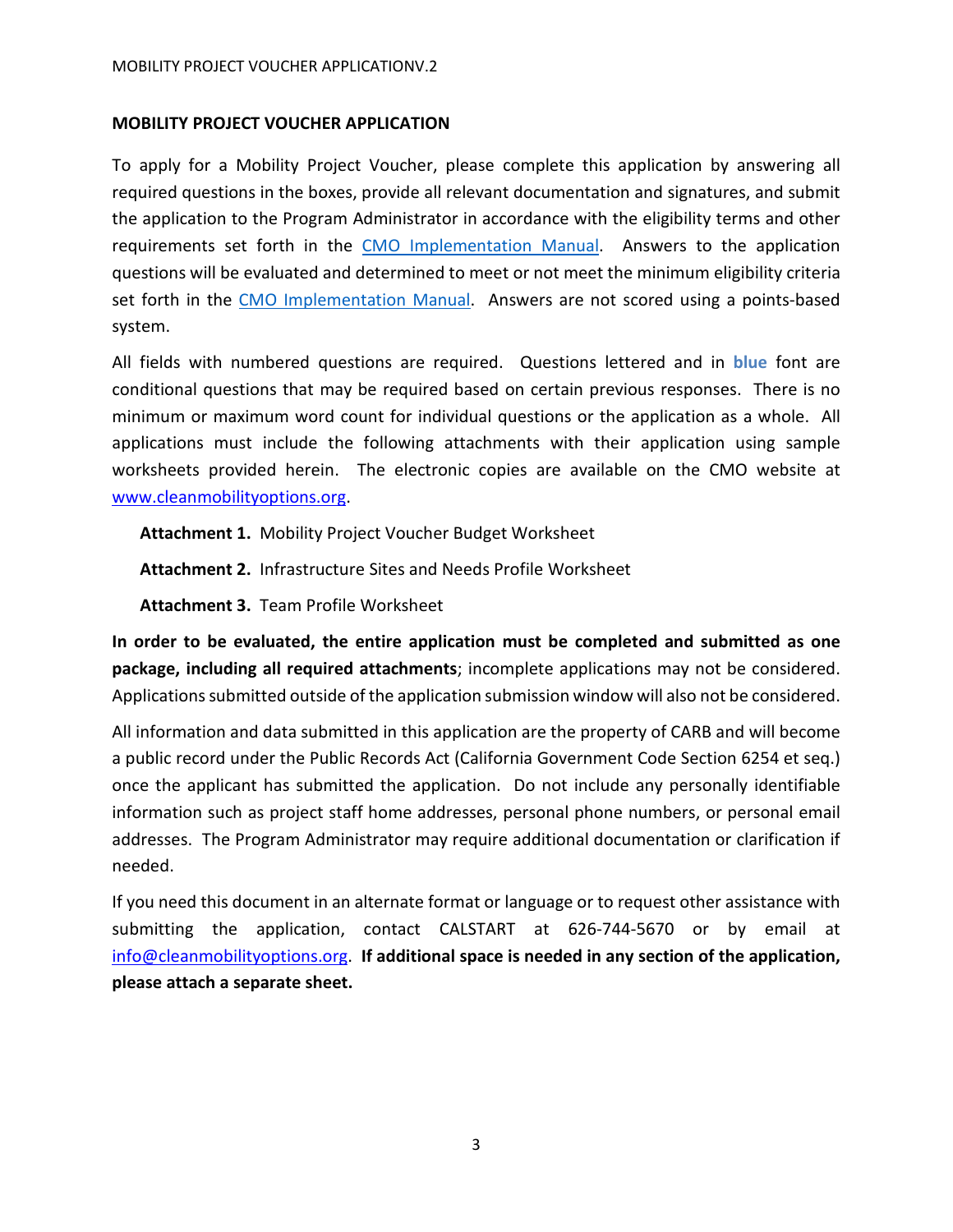## **MOBILITY PROJECT VOUCHER APPLICATION**

To apply for a Mobility Project Voucher, please complete this application by answering all required questions in the boxes, provide all relevant documentation and signatures, and submit the application to the Program Administrator in accordance with the eligibility terms and other requirements set forth in the [CMO Implementation Manual.](https://www.cleanmobilityoptions.org/implementation-manual/) Answers to the application questions will be evaluated and determined to meet or not meet the minimum eligibility criteria set forth in the [CMO Implementation Manual.](https://www.cleanmobilityoptions.org/implementation-manual/) Answers are not scored using a points-based system.

All fields with numbered questions are required. Questions lettered and in **blue** font are conditional questions that may be required based on certain previous responses. There is no minimum or maximum word count for individual questions or the application as a whole. All applications must include the following attachments with their application using sample worksheets provided herein. The electronic copies are available on the CMO website at [www.cleanmobilityoptions.org.](http://www.cleanmobilityoptions.org/)

**Attachment 1.** Mobility Project Voucher Budget Worksheet

**Attachment 2.** Infrastructure Sites and Needs Profile Worksheet

**Attachment 3.** Team Profile Worksheet

**In order to be evaluated, the entire application must be completed and submitted as one package, including all required attachments**; incomplete applications may not be considered. Applications submitted outside of the application submission window will also not be considered.

All information and data submitted in this application are the property of CARB and will become a public record under the Public Records Act (California Government Code Section 6254 et seq.) once the applicant has submitted the application. Do not include any personally identifiable information such as project staff home addresses, personal phone numbers, or personal email addresses. The Program Administrator may require additional documentation or clarification if needed.

If you need this document in an alternate format or language or to request other assistance with submitting the application, contact CALSTART at 626-744-5670 or by email at [info@cleanmobilityoptions.org.](mailto:info@cleanmobilityoptions.org) **If additional space is needed in any section of the application, please attach a separate sheet.**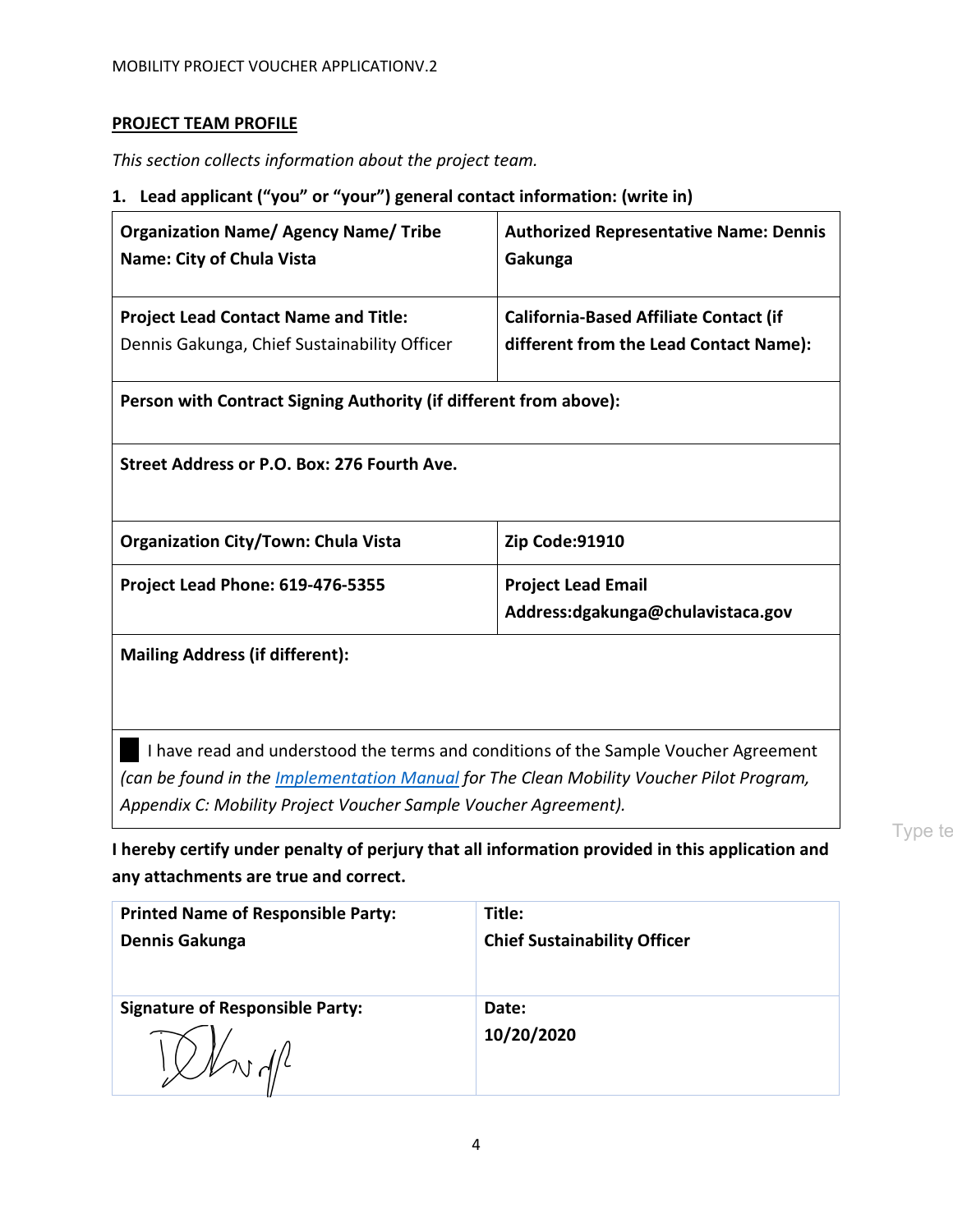# <span id="page-3-0"></span>**PROJECT TEAM PROFILE**

*This section collects information about the project team.*

## **1. Lead applicant ("you" or "your") general contact information: (write in)**

| <b>Organization Name/ Agency Name/ Tribe</b><br><b>Name: City of Chula Vista</b>                | <b>Authorized Representative Name: Dennis</b><br>Gakunga       |  |
|-------------------------------------------------------------------------------------------------|----------------------------------------------------------------|--|
| <b>Project Lead Contact Name and Title:</b>                                                     | <b>California-Based Affiliate Contact (if</b>                  |  |
| Dennis Gakunga, Chief Sustainability Officer                                                    | different from the Lead Contact Name):                         |  |
| Person with Contract Signing Authority (if different from above):                               |                                                                |  |
| Street Address or P.O. Box: 276 Fourth Ave.                                                     |                                                                |  |
| <b>Organization City/Town: Chula Vista</b>                                                      | Zip Code:91910                                                 |  |
| <b>Project Lead Phone: 619-476-5355</b>                                                         | <b>Project Lead Email</b><br>Address:dgakunga@chulavistaca.gov |  |
|                                                                                                 |                                                                |  |
| <b>Mailing Address (if different):</b>                                                          |                                                                |  |
| I have read and understood the terms and conditions of the Sample Voucher Agreement             |                                                                |  |
| (can be found in the <i>Implementation Manual</i> for The Clean Mobility Voucher Pilot Program, |                                                                |  |
| Appendix C: Mobility Project Voucher Sample Voucher Agreement).                                 |                                                                |  |

Type te

**I hereby certify under penalty of perjury that all information provided in this application and any attachments are true and correct.**

| <b>Printed Name of Responsible Party:</b> | Title:                              |
|-------------------------------------------|-------------------------------------|
| Dennis Gakunga                            | <b>Chief Sustainability Officer</b> |
|                                           |                                     |
| <b>Signature of Responsible Party:</b>    | Date:                               |
|                                           | 10/20/2020                          |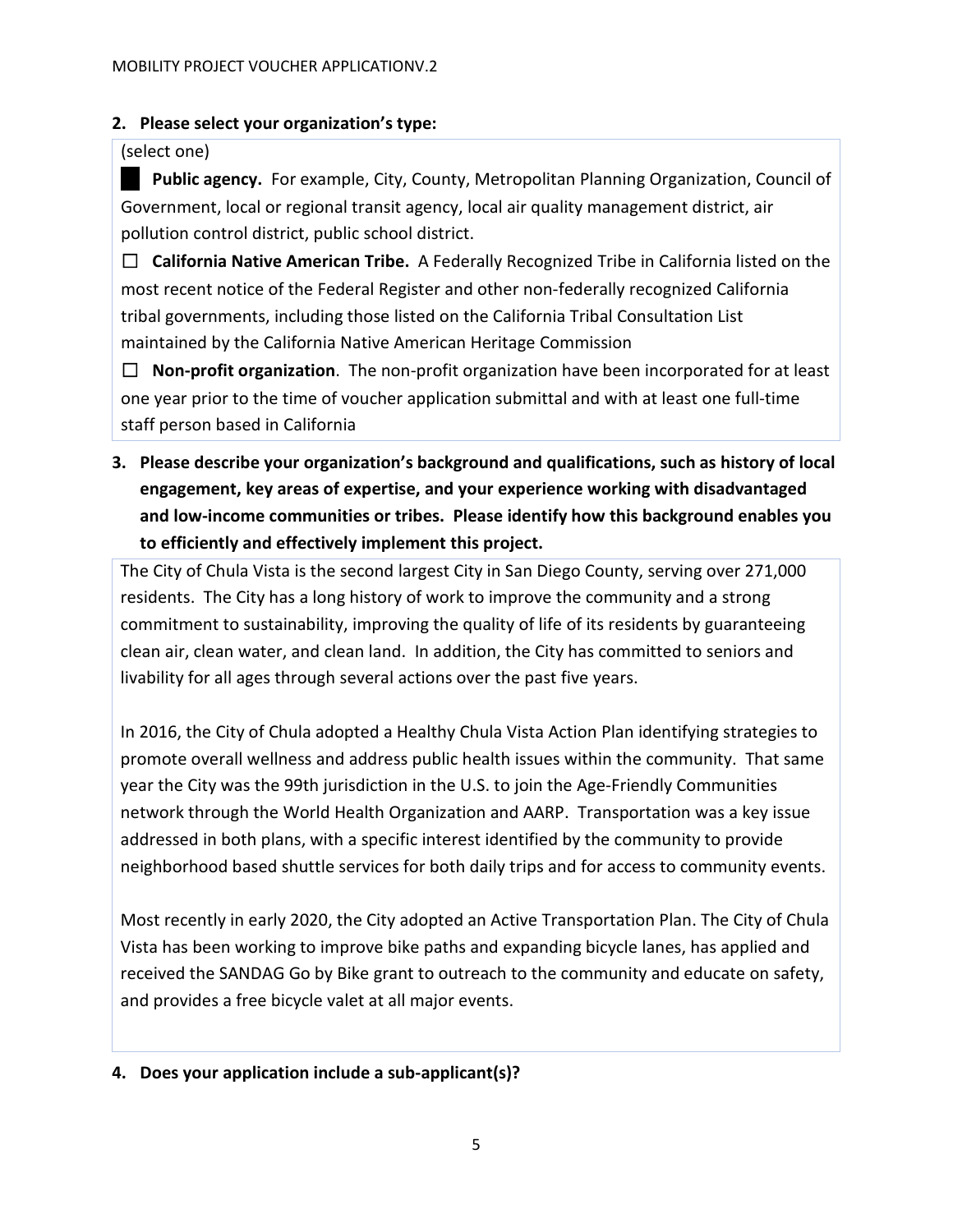# **2. Please select your organization's type:**

# (select one)

**Public agency.** For example, City, County, Metropolitan Planning Organization, Council of Government, local or regional transit agency, local air quality management district, air pollution control district, public school district.

☐ **California Native American Tribe.** A Federally Recognized Tribe in California listed on the most recent notice of the Federal Register and other non-federally recognized California tribal governments, including those listed on the California Tribal Consultation List maintained by the California Native American Heritage Commission

☐ **Non-profit organization**. The non-profit organization have been incorporated for at least one year prior to the time of voucher application submittal and with at least one full-time staff person based in California

**3. Please describe your organization's background and qualifications, such as history of local engagement, key areas of expertise, and your experience working with disadvantaged and low-income communities or tribes. Please identify how this background enables you to efficiently and effectively implement this project.**

The City of Chula Vista is the second largest City in San Diego County, serving over 271,000 residents. The City has a long history of work to improve the community and a strong commitment to sustainability, improving the quality of life of its residents by guaranteeing clean air, clean water, and clean land. In addition, the City has committed to seniors and livability for all ages through several actions over the past five years.

In 2016, the City of Chula adopted a Healthy Chula Vista Action Plan identifying strategies to promote overall wellness and address public health issues within the community. That same year the City was the 99th jurisdiction in the U.S. to join the Age-Friendly Communities network through the World Health Organization and AARP. Transportation was a key issue addressed in both plans, with a specific interest identified by the community to provide neighborhood based shuttle services for both daily trips and for access to community events.

Most recently in early 2020, the City adopted an Active Transportation Plan. The City of Chula Vista has been working to improve bike paths and expanding bicycle lanes, has applied and received the SANDAG Go by Bike grant to outreach to the community and educate on safety, and provides a free bicycle valet at all major events.

# **4. Does your application include a sub-applicant(s)?**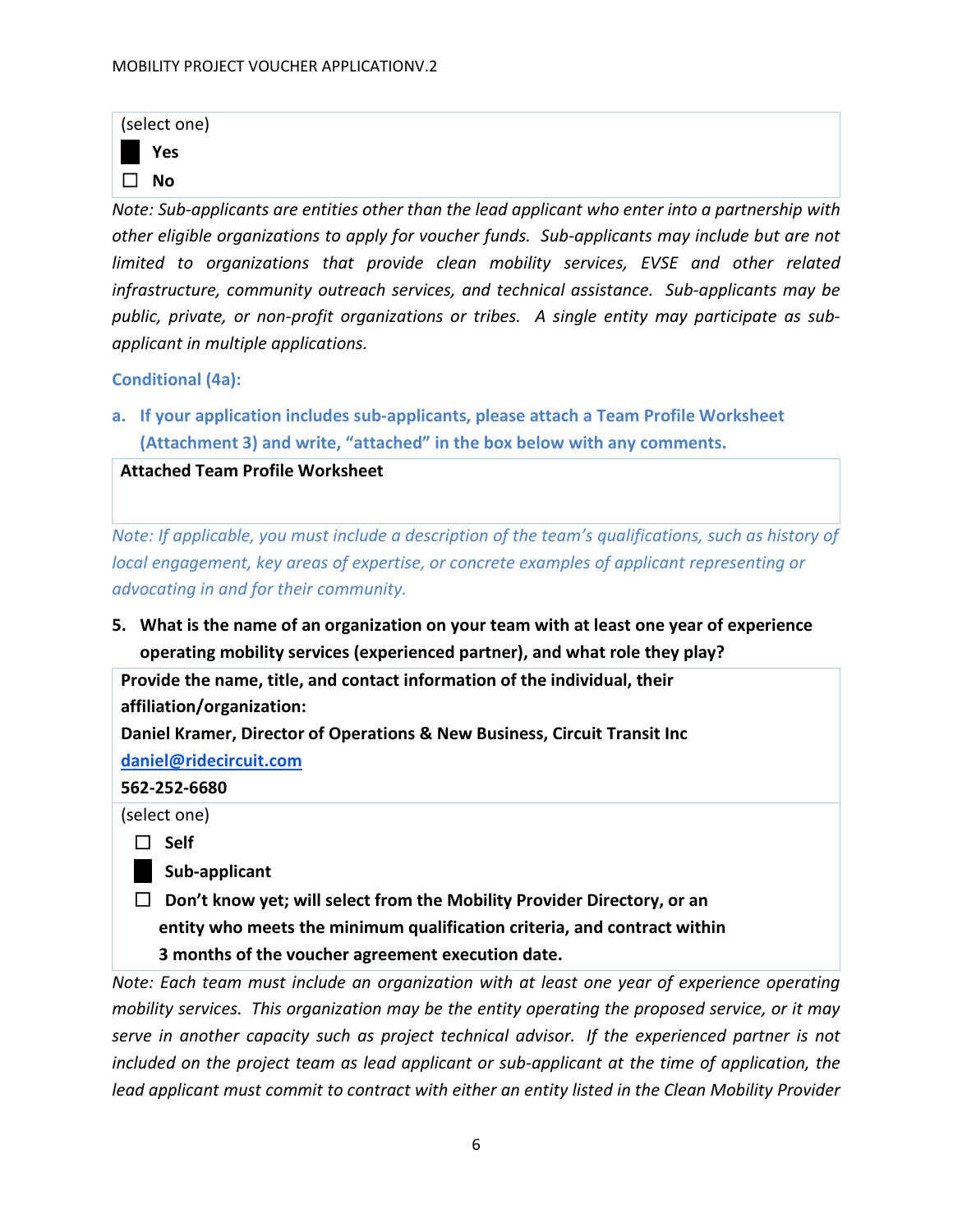| (select one) |     |
|--------------|-----|
|              | Yes |
| $\mathsf{L}$ | Nο  |

*Note: Sub-applicants are entities other than the lead applicant who enter into a partnership with other eligible organizations to apply for voucher funds. Sub-applicants may include but are not limited to organizations that provide clean mobility services, EVSE and other related infrastructure, community outreach services, and technical assistance. Sub-applicants may be public, private, or non-profit organizations or tribes. A single entity may participate as subapplicant in multiple applications.*

#### **Conditional (4a):**

**a. If your application includes sub-applicants, please attach a Team Profile Worksheet (Attachment 3) and write, "attached" in the box below with any comments.**

#### **Attached Team Profile Worksheet**

*Note: If applicable, you must include a description of the team's qualifications, such as history of local engagement, key areas of expertise, or concrete examples of applicant representing or advocating in and for their community.*

**5. What is the name of an organization on your team with at least one year of experience operating mobility services (experienced partner), and what role they play?**

**Provide the name, title, and contact information of the individual, their affiliation/organization: Daniel Kramer, Director of Operations & New Business, Circuit Transit Inc**

**[daniel@ridecircuit.com](mailto:daniel@ridecircuit.com)**

**562-252-6680**

(select one)

☐ **Self**

- ☐ **Sub-applicant**
- ☐ **Don't know yet; will select from the Mobility Provider Directory, or an entity who meets the minimum qualification criteria, and contract within 3 months of the voucher agreement execution date.**

*Note: Each team must include an organization with at least one year of experience operating mobility services. This organization may be the entity operating the proposed service, or it may serve in another capacity such as project technical advisor. If the experienced partner is not included on the project team as lead applicant or sub-applicant at the time of application, the lead applicant must commit to contract with either an entity listed in the Clean Mobility Provider*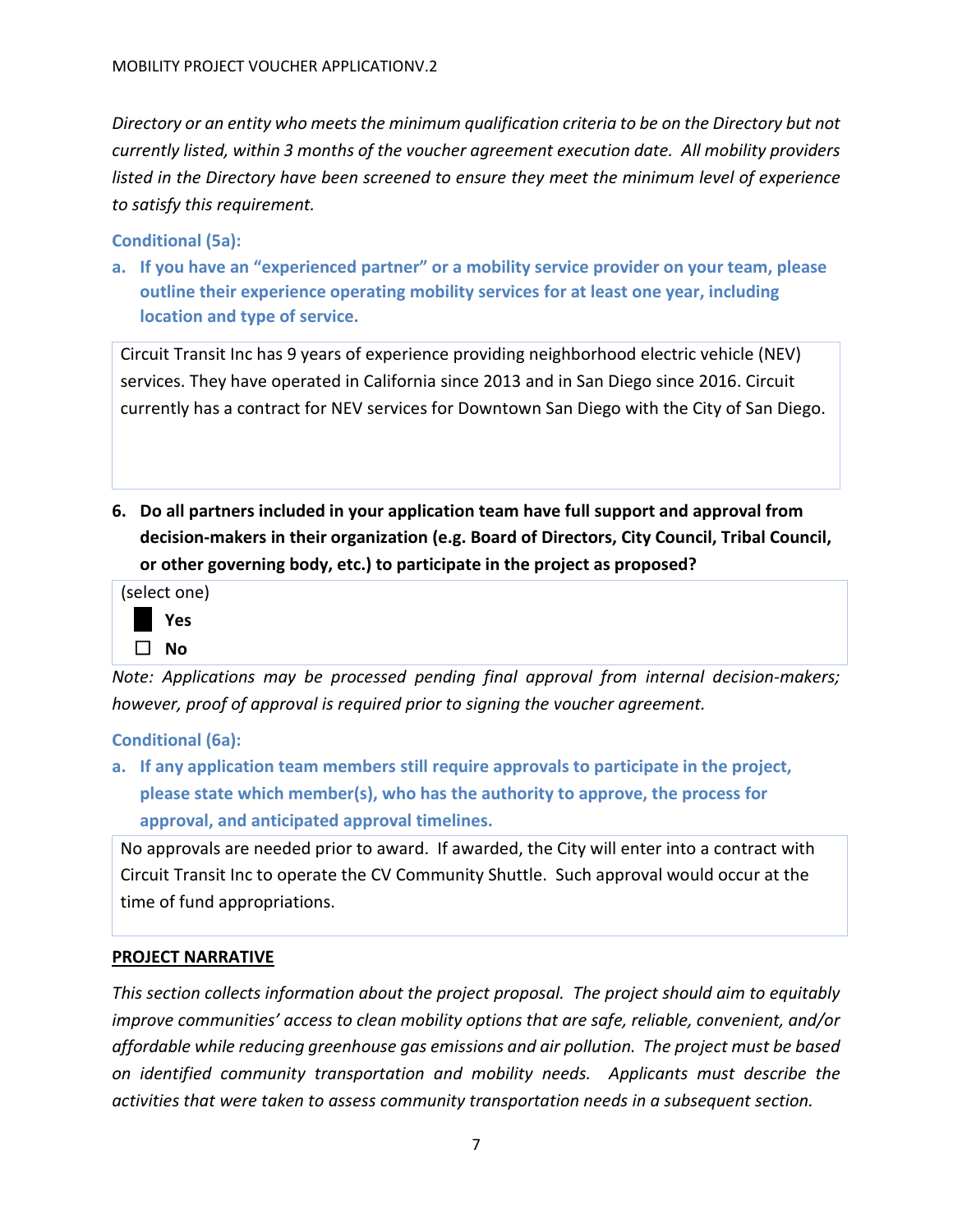*Directory or an entity who meets the minimum qualification criteria to be on the Directory but not currently listed, within 3 months of the voucher agreement execution date. All mobility providers listed in the Directory have been screened to ensure they meet the minimum level of experience to satisfy this requirement.* 

**Conditional (5a):**

**a. If you have an "experienced partner" or a mobility service provider on your team, please outline their experience operating mobility services for at least one year, including location and type of service.** 

Circuit Transit Inc has 9 years of experience providing neighborhood electric vehicle (NEV) services. They have operated in California since 2013 and in San Diego since 2016. Circuit currently has a contract for NEV services for Downtown San Diego with the City of San Diego.

**6. Do all partners included in your application team have full support and approval from decision-makers in their organization (e.g. Board of Directors, City Council, Tribal Council, or other governing body, etc.) to participate in the project as proposed?**



*Note: Applications may be processed pending final approval from internal decision-makers; however, proof of approval is required prior to signing the voucher agreement.*

**Conditional (6a):**

**a. If any application team members still require approvals to participate in the project, please state which member(s), who has the authority to approve, the process for approval, and anticipated approval timelines.**

No approvals are needed prior to award. If awarded, the City will enter into a contract with Circuit Transit Inc to operate the CV Community Shuttle. Such approval would occur at the time of fund appropriations.

# <span id="page-6-0"></span>**PROJECT NARRATIVE**

*This section collects information about the project proposal. The project should aim to equitably improve communities' access to clean mobility options that are safe, reliable, convenient, and/or affordable while reducing greenhouse gas emissions and air pollution. The project must be based on identified community transportation and mobility needs. Applicants must describe the activities that were taken to assess community transportation needs in a subsequent section.*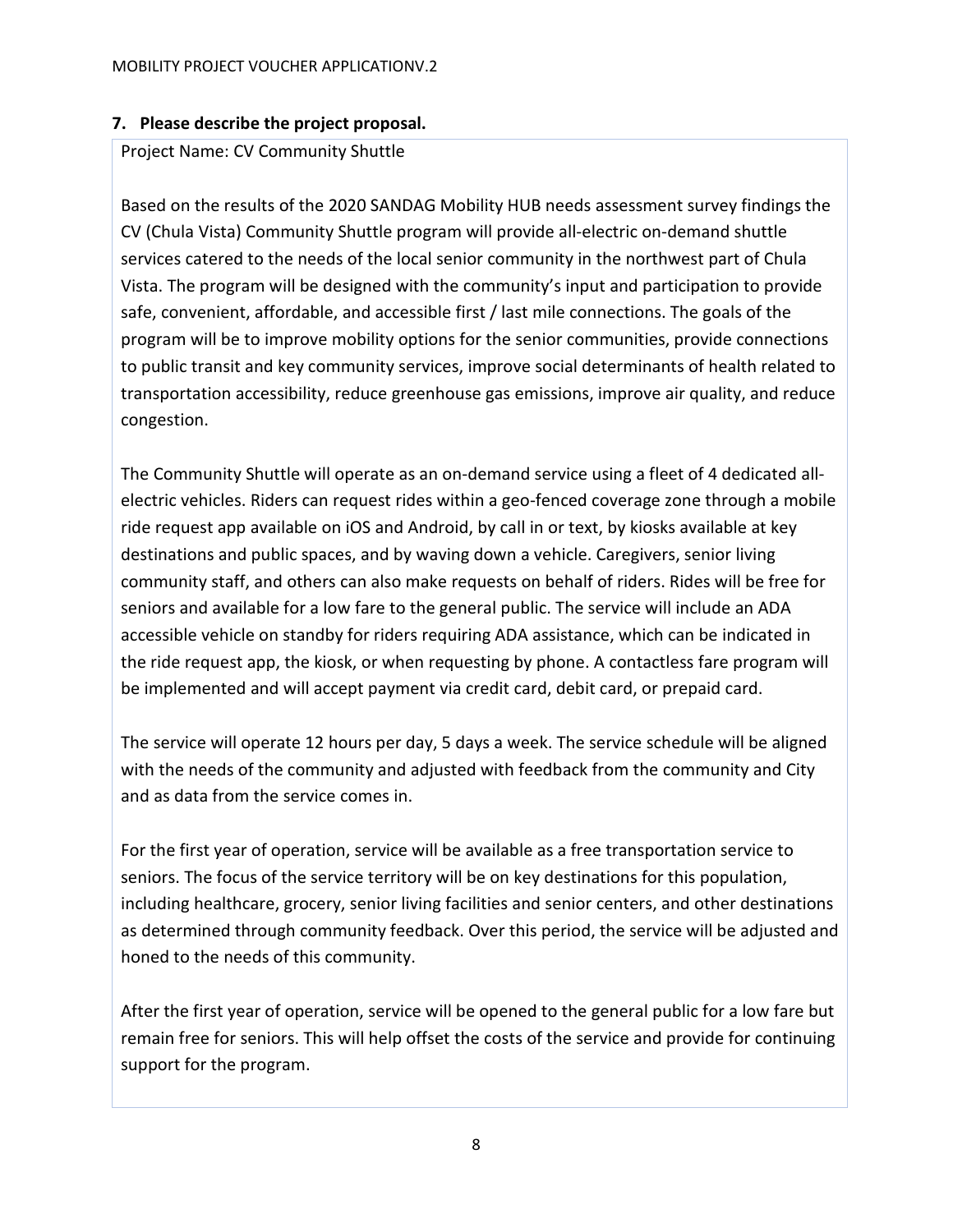# **7. Please describe the project proposal.**

## Project Name: CV Community Shuttle

Based on the results of the 2020 SANDAG Mobility HUB needs assessment survey findings the CV (Chula Vista) Community Shuttle program will provide all-electric on-demand shuttle services catered to the needs of the local senior community in the northwest part of Chula Vista. The program will be designed with the community's input and participation to provide safe, convenient, affordable, and accessible first / last mile connections. The goals of the program will be to improve mobility options for the senior communities, provide connections to public transit and key community services, improve social determinants of health related to transportation accessibility, reduce greenhouse gas emissions, improve air quality, and reduce congestion.

The Community Shuttle will operate as an on-demand service using a fleet of 4 dedicated allelectric vehicles. Riders can request rides within a geo-fenced coverage zone through a mobile ride request app available on iOS and Android, by call in or text, by kiosks available at key destinations and public spaces, and by waving down a vehicle. Caregivers, senior living community staff, and others can also make requests on behalf of riders. Rides will be free for seniors and available for a low fare to the general public. The service will include an ADA accessible vehicle on standby for riders requiring ADA assistance, which can be indicated in the ride request app, the kiosk, or when requesting by phone. A contactless fare program will be implemented and will accept payment via credit card, debit card, or prepaid card.

The service will operate 12 hours per day, 5 days a week. The service schedule will be aligned with the needs of the community and adjusted with feedback from the community and City and as data from the service comes in.

For the first year of operation, service will be available as a free transportation service to seniors. The focus of the service territory will be on key destinations for this population, including healthcare, grocery, senior living facilities and senior centers, and other destinations as determined through community feedback. Over this period, the service will be adjusted and honed to the needs of this community.

After the first year of operation, service will be opened to the general public for a low fare but remain free for seniors. This will help offset the costs of the service and provide for continuing support for the program.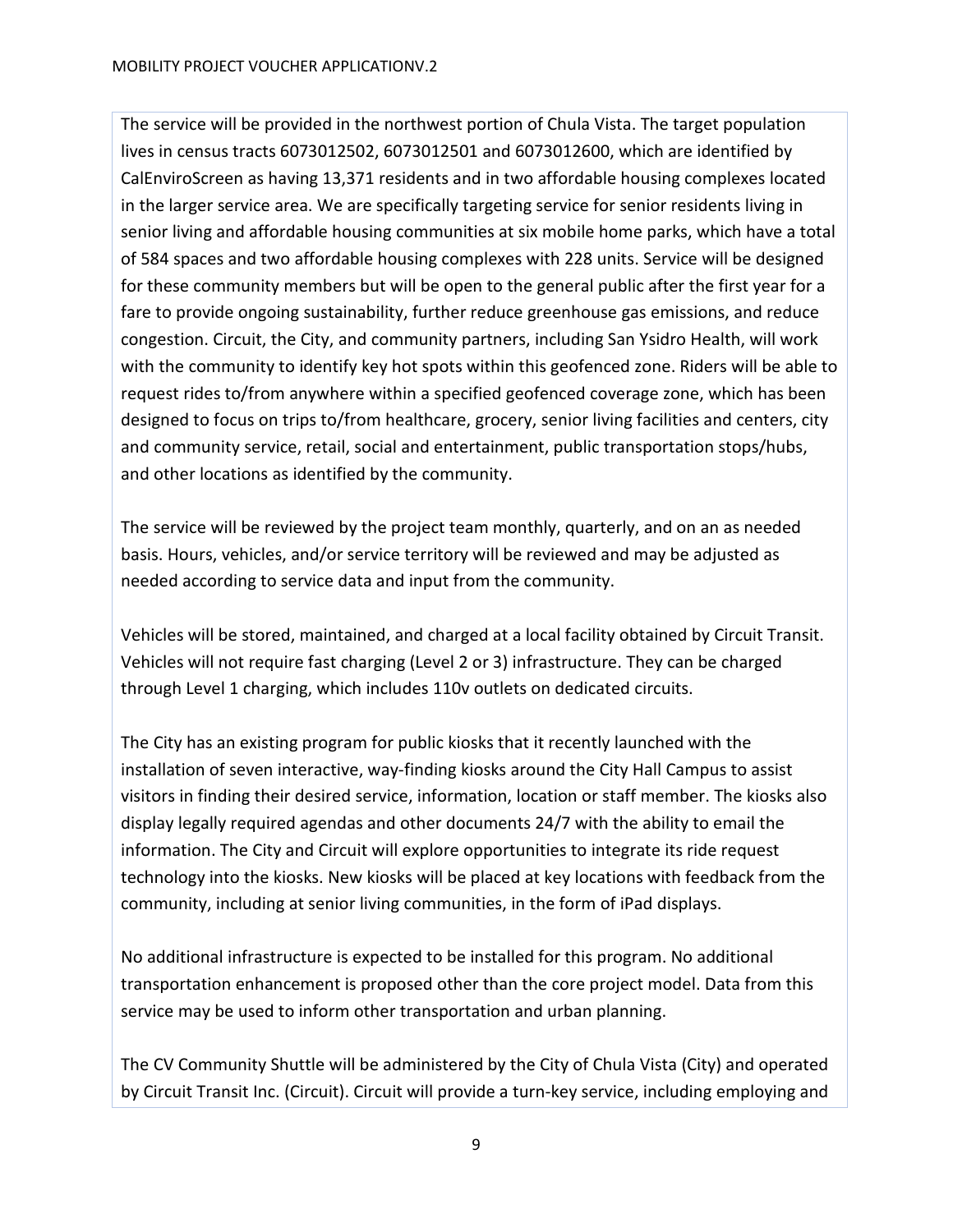The service will be provided in the northwest portion of Chula Vista. The target population lives in census tracts 6073012502, 6073012501 and 6073012600, which are identified by CalEnviroScreen as having 13,371 residents and in two affordable housing complexes located in the larger service area. We are specifically targeting service for senior residents living in senior living and affordable housing communities at six mobile home parks, which have a total of 584 spaces and two affordable housing complexes with 228 units. Service will be designed for these community members but will be open to the general public after the first year for a fare to provide ongoing sustainability, further reduce greenhouse gas emissions, and reduce congestion. Circuit, the City, and community partners, including San Ysidro Health, will work with the community to identify key hot spots within this geofenced zone. Riders will be able to request rides to/from anywhere within a specified geofenced coverage zone, which has been designed to focus on trips to/from healthcare, grocery, senior living facilities and centers, city and community service, retail, social and entertainment, public transportation stops/hubs, and other locations as identified by the community.

The service will be reviewed by the project team monthly, quarterly, and on an as needed basis. Hours, vehicles, and/or service territory will be reviewed and may be adjusted as needed according to service data and input from the community.

Vehicles will be stored, maintained, and charged at a local facility obtained by Circuit Transit. Vehicles will not require fast charging (Level 2 or 3) infrastructure. They can be charged through Level 1 charging, which includes 110v outlets on dedicated circuits.

The City has an existing program for public kiosks that it recently launched with the installation of seven interactive, way-finding kiosks around the City Hall Campus to assist visitors in finding their desired service, information, location or staff member. The kiosks also display legally required agendas and other documents 24/7 with the ability to email the information. The City and Circuit will explore opportunities to integrate its ride request technology into the kiosks. New kiosks will be placed at key locations with feedback from the community, including at senior living communities, in the form of iPad displays.

No additional infrastructure is expected to be installed for this program. No additional transportation enhancement is proposed other than the core project model. Data from this service may be used to inform other transportation and urban planning.

The CV Community Shuttle will be administered by the City of Chula Vista (City) and operated by Circuit Transit Inc. (Circuit). Circuit will provide a turn-key service, including employing and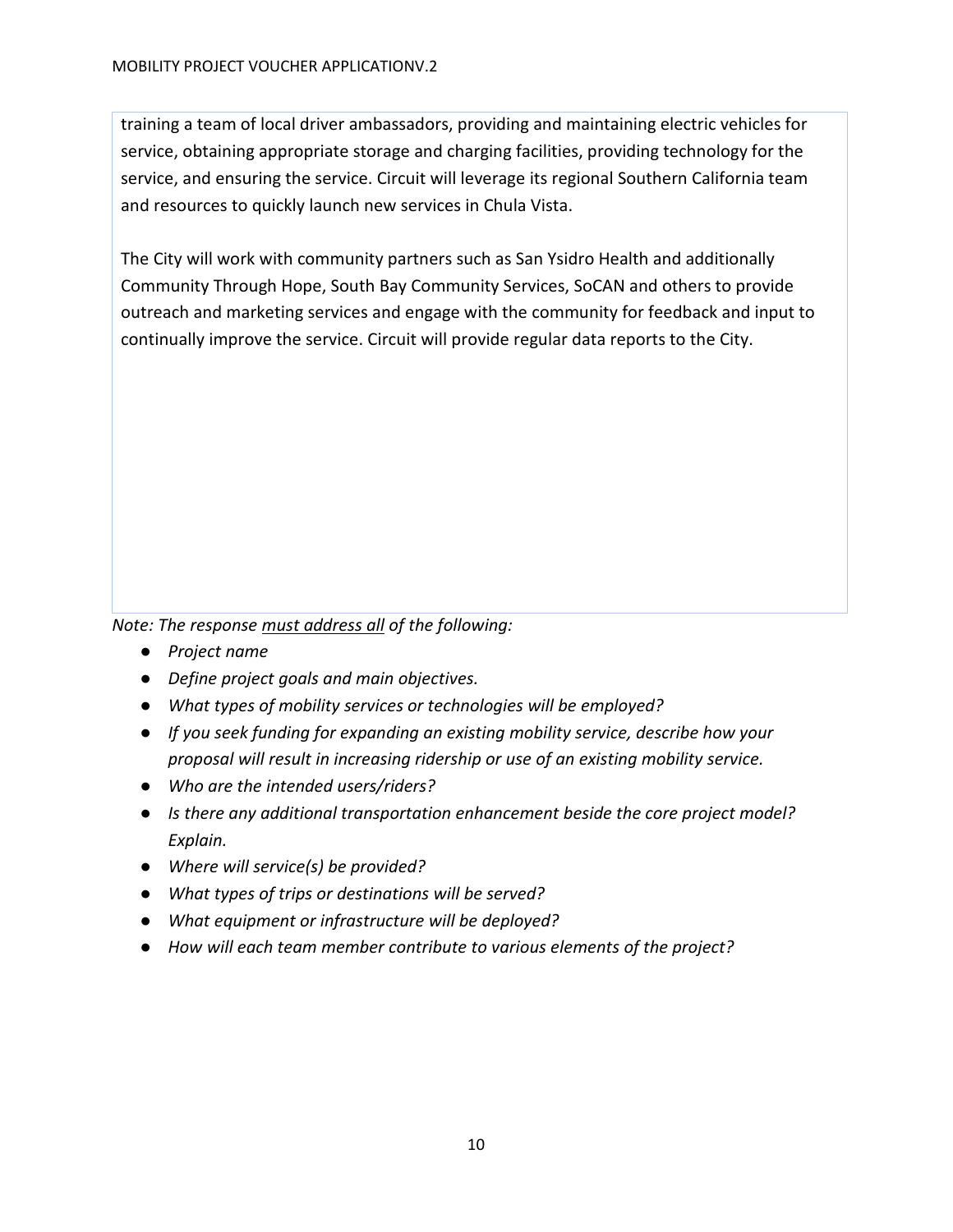training a team of local driver ambassadors, providing and maintaining electric vehicles for service, obtaining appropriate storage and charging facilities, providing technology for the service, and ensuring the service. Circuit will leverage its regional Southern California team and resources to quickly launch new services in Chula Vista.

The City will work with community partners such as San Ysidro Health and additionally Community Through Hope, South Bay Community Services, SoCAN and others to provide outreach and marketing services and engage with the community for feedback and input to continually improve the service. Circuit will provide regular data reports to the City.

*Note: The response must address all of the following:*

- *Project name*
- *Define project goals and main objectives.*
- *What types of mobility services or technologies will be employed?*
- *If you seek funding for expanding an existing mobility service, describe how your proposal will result in increasing ridership or use of an existing mobility service.*
- *Who are the intended users/riders?*
- *Is there any additional transportation enhancement beside the core project model? Explain.*
- *Where will service(s) be provided?*
- *What types of trips or destinations will be served?*
- *What equipment or infrastructure will be deployed?*
- *How will each team member contribute to various elements of the project?*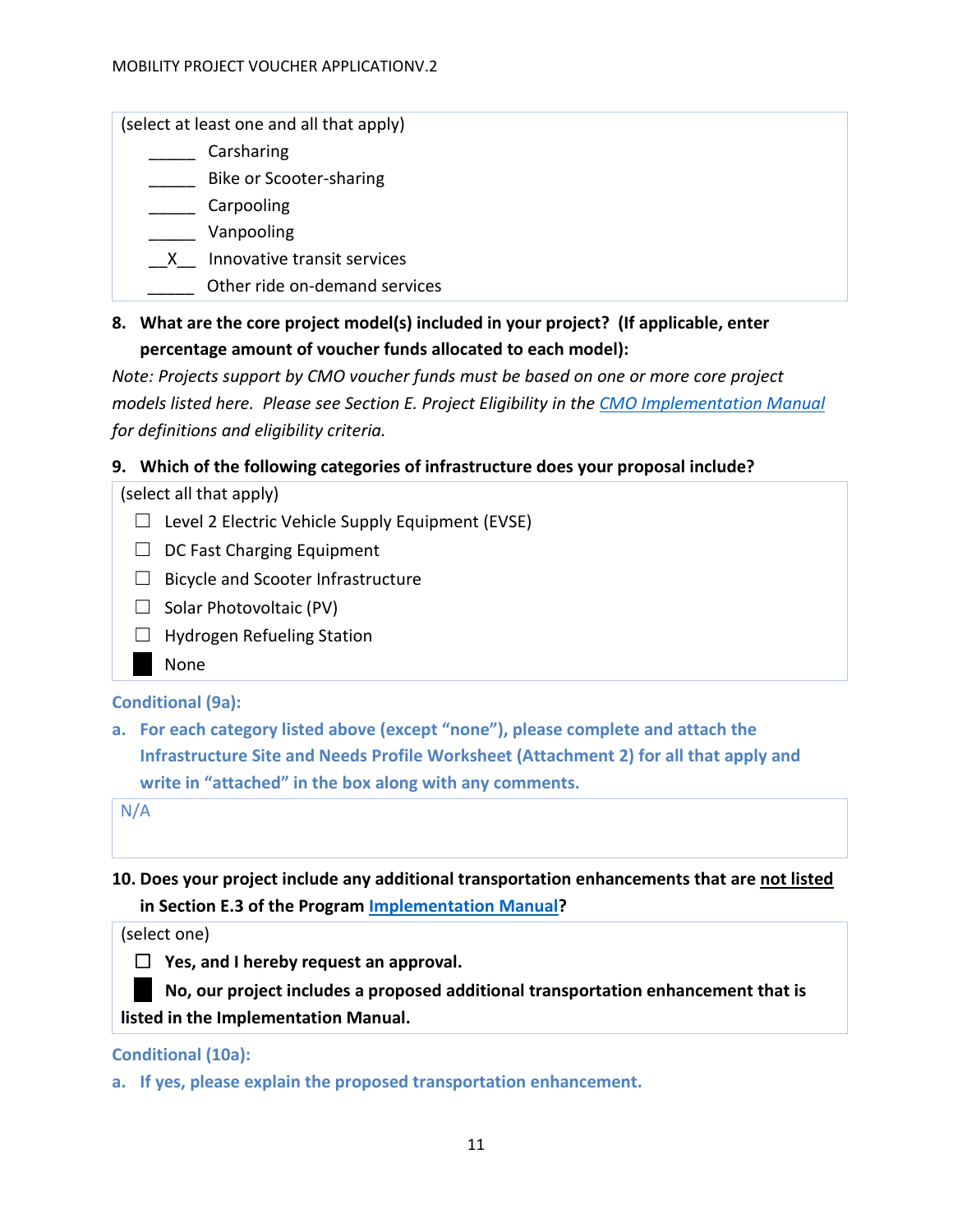(select at least one and all that apply)

- \_\_\_\_\_ Carsharing
- \_\_\_\_\_ Bike or Scooter-sharing
- \_\_\_\_\_ Carpooling
- \_\_\_\_\_ Vanpooling
- \_\_X\_\_ Innovative transit services
- \_\_\_\_\_ Other ride on-demand services
- **8. What are the core project model(s) included in your project? (If applicable, enter percentage amount of voucher funds allocated to each model):**

*Note: Projects support by CMO voucher funds must be based on one or more core project models listed here. Please see Section E. Project Eligibility in the [CMO Implementation Manual](https://www.cleanmobilityoptions.org/implementation-manual/) for definitions and eligibility criteria.*

## **9. Which of the following categories of infrastructure does your proposal include?**

(select all that apply)

- $\Box$  Level 2 Electric Vehicle Supply Equipment (EVSE)
- $\Box$  DC Fast Charging Equipment
- $\Box$  Bicycle and Scooter Infrastructure
- $\Box$  Solar Photovoltaic (PV)
- ☐ Hydrogen Refueling Station
	- **None**

#### **Conditional (9a):**

**a. For each category listed above (except "none"), please complete and attach the Infrastructure Site and Needs Profile Worksheet (Attachment 2) for all that apply and write in "attached" in the box along with any comments.** 

N/A

**10. Does your project include any additional transportation enhancements that are not listed in Section E.3 of the Program [Implementation Manual?](https://www.cleanmobilityoptions.org/implementation-manual/)**

(select one)



☐ **No, our project includes a proposed additional transportation enhancement that is listed in the Implementation Manual.**

#### **Conditional (10a):**

**a. If yes, please explain the proposed transportation enhancement.**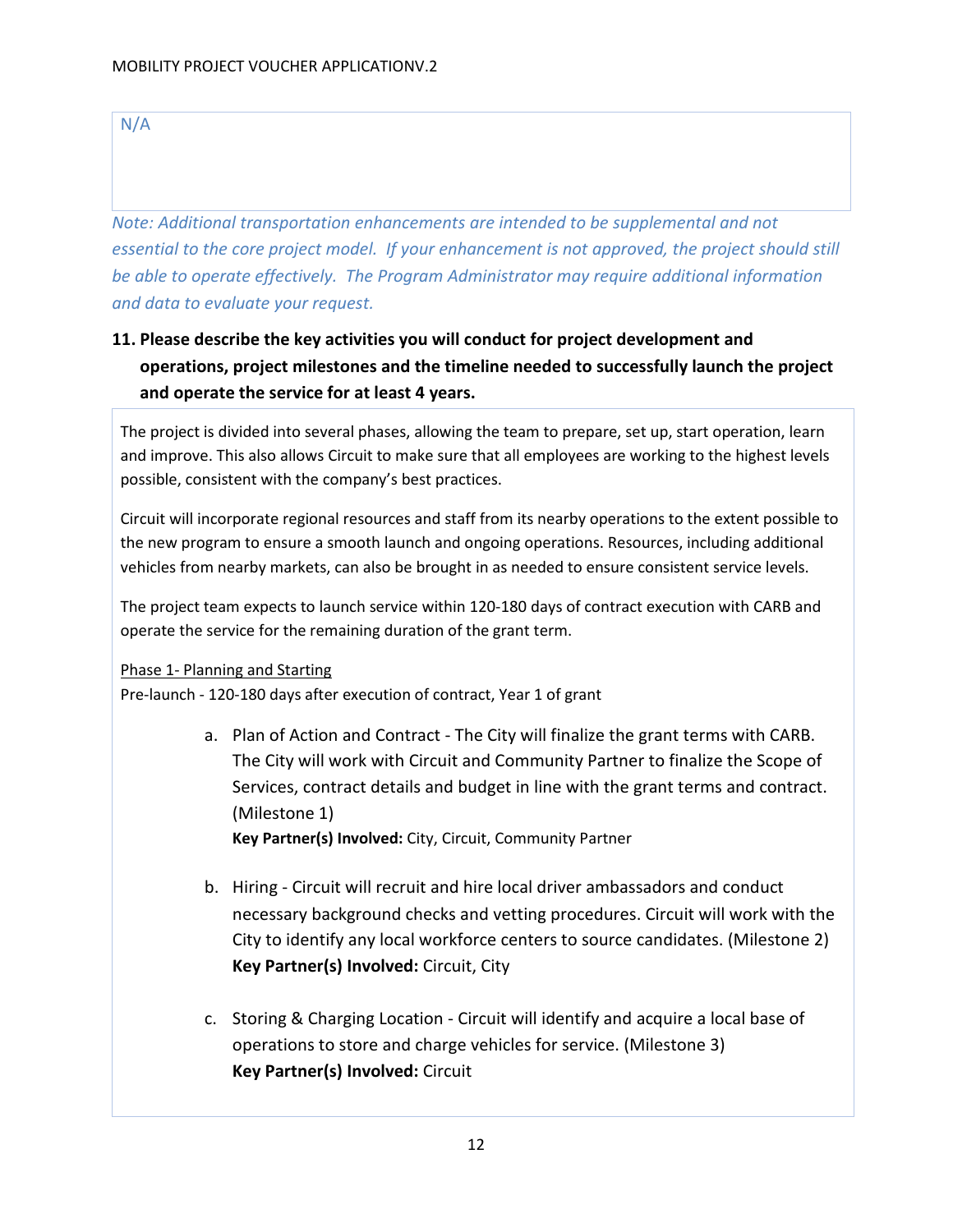N/A

*Note: Additional transportation enhancements are intended to be supplemental and not essential to the core project model. If your enhancement is not approved, the project should still be able to operate effectively. The Program Administrator may require additional information and data to evaluate your request.*

# **11. Please describe the key activities you will conduct for project development and operations, project milestones and the timeline needed to successfully launch the project and operate the service for at least 4 years.**

The project is divided into several phases, allowing the team to prepare, set up, start operation, learn and improve. This also allows Circuit to make sure that all employees are working to the highest levels possible, consistent with the company's best practices.

Circuit will incorporate regional resources and staff from its nearby operations to the extent possible to the new program to ensure a smooth launch and ongoing operations. Resources, including additional vehicles from nearby markets, can also be brought in as needed to ensure consistent service levels.

The project team expects to launch service within 120-180 days of contract execution with CARB and operate the service for the remaining duration of the grant term.

#### Phase 1- Planning and Starting

Pre-launch - 120-180 days after execution of contract, Year 1 of grant

- a. Plan of Action and Contract The City will finalize the grant terms with CARB. The City will work with Circuit and Community Partner to finalize the Scope of Services, contract details and budget in line with the grant terms and contract. (Milestone 1) **Key Partner(s) Involved:** City, Circuit, Community Partner
- b. Hiring Circuit will recruit and hire local driver ambassadors and conduct necessary background checks and vetting procedures. Circuit will work with the City to identify any local workforce centers to source candidates. (Milestone 2) **Key Partner(s) Involved:** Circuit, City
- c. Storing & Charging Location Circuit will identify and acquire a local base of operations to store and charge vehicles for service. (Milestone 3) **Key Partner(s) Involved:** Circuit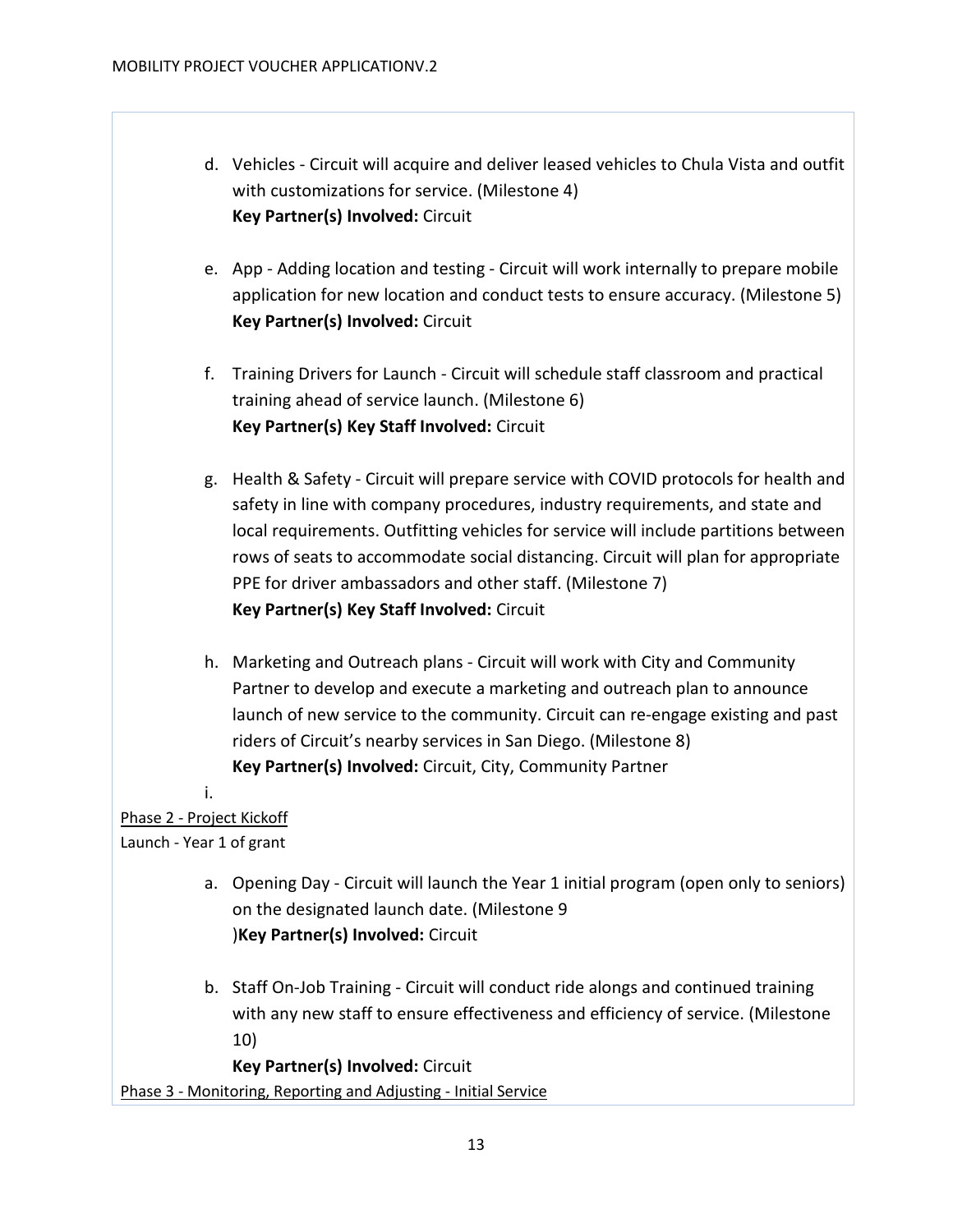- d. Vehicles Circuit will acquire and deliver leased vehicles to Chula Vista and outfit with customizations for service. (Milestone 4) **Key Partner(s) Involved:** Circuit
- e. App Adding location and testing Circuit will work internally to prepare mobile application for new location and conduct tests to ensure accuracy. (Milestone 5) **Key Partner(s) Involved:** Circuit
- f. Training Drivers for Launch Circuit will schedule staff classroom and practical training ahead of service launch. (Milestone 6) **Key Partner(s) Key Staff Involved:** Circuit
- g. Health & Safety Circuit will prepare service with COVID protocols for health and safety in line with company procedures, industry requirements, and state and local requirements. Outfitting vehicles for service will include partitions between rows of seats to accommodate social distancing. Circuit will plan for appropriate PPE for driver ambassadors and other staff. (Milestone 7) **Key Partner(s) Key Staff Involved:** Circuit
- h. Marketing and Outreach plans Circuit will work with City and Community Partner to develop and execute a marketing and outreach plan to announce launch of new service to the community. Circuit can re-engage existing and past riders of Circuit's nearby services in San Diego. (Milestone 8) **Key Partner(s) Involved:** Circuit, City, Community Partner

i. Phase 2 - Project Kickoff

Launch - Year 1 of grant

- a. Opening Day Circuit will launch the Year 1 initial program (open only to seniors) on the designated launch date. (Milestone 9 )**Key Partner(s) Involved:** Circuit
- b. Staff On-Job Training Circuit will conduct ride alongs and continued training with any new staff to ensure effectiveness and efficiency of service. (Milestone 10)

**Key Partner(s) Involved:** Circuit Phase 3 - Monitoring, Reporting and Adjusting - Initial Service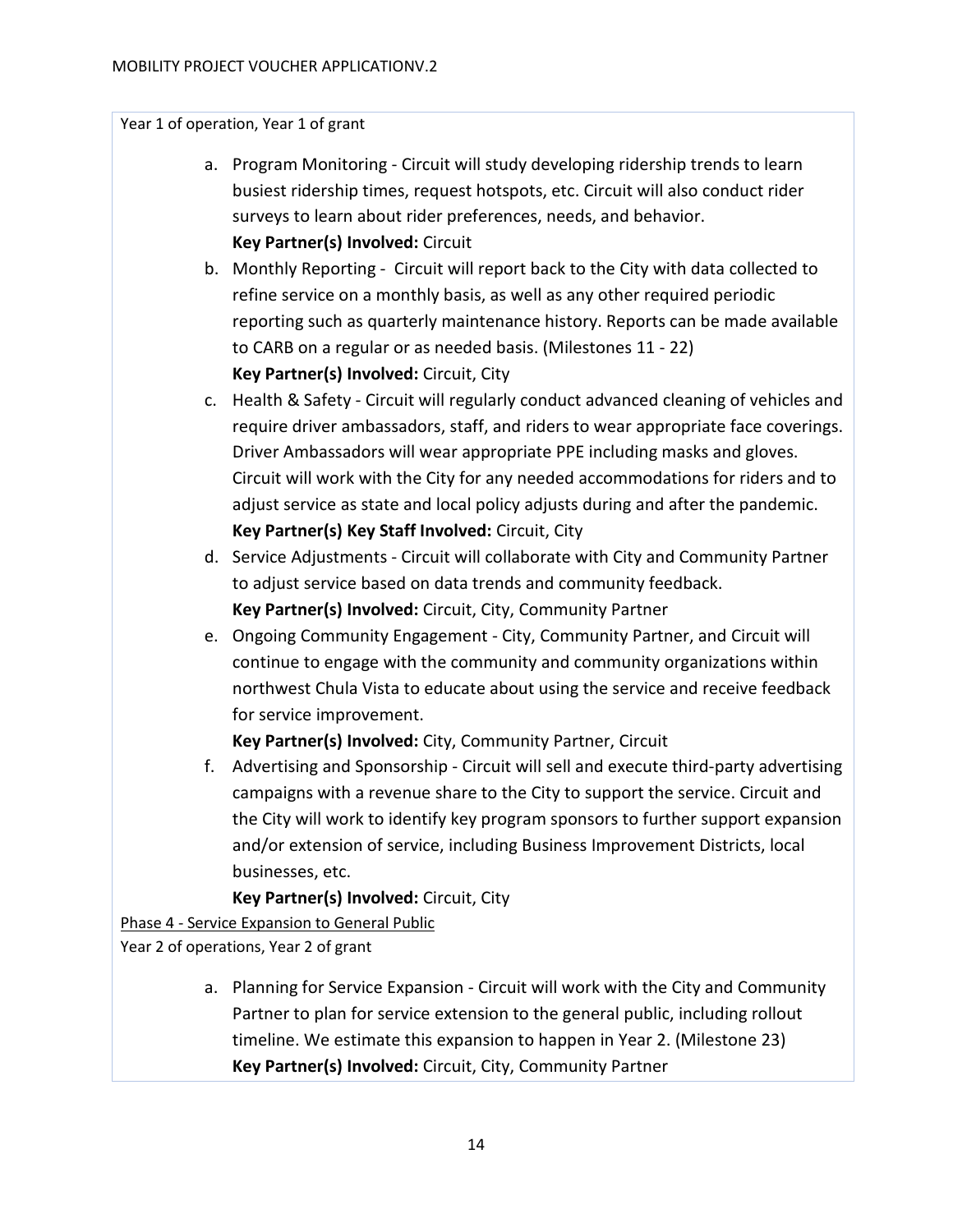Year 1 of operation, Year 1 of grant

- a. Program Monitoring Circuit will study developing ridership trends to learn busiest ridership times, request hotspots, etc. Circuit will also conduct rider surveys to learn about rider preferences, needs, and behavior. **Key Partner(s) Involved:** Circuit
- b. Monthly Reporting Circuit will report back to the City with data collected to refine service on a monthly basis, as well as any other required periodic reporting such as quarterly maintenance history. Reports can be made available to CARB on a regular or as needed basis. (Milestones 11 - 22) **Key Partner(s) Involved:** Circuit, City
- c. Health & Safety Circuit will regularly conduct advanced cleaning of vehicles and require driver ambassadors, staff, and riders to wear appropriate face coverings. Driver Ambassadors will wear appropriate PPE including masks and gloves. Circuit will work with the City for any needed accommodations for riders and to adjust service as state and local policy adjusts during and after the pandemic. **Key Partner(s) Key Staff Involved:** Circuit, City
- d. Service Adjustments Circuit will collaborate with City and Community Partner to adjust service based on data trends and community feedback. **Key Partner(s) Involved:** Circuit, City, Community Partner
- e. Ongoing Community Engagement City, Community Partner, and Circuit will continue to engage with the community and community organizations within northwest Chula Vista to educate about using the service and receive feedback for service improvement.

**Key Partner(s) Involved:** City, Community Partner, Circuit

f. Advertising and Sponsorship - Circuit will sell and execute third-party advertising campaigns with a revenue share to the City to support the service. Circuit and the City will work to identify key program sponsors to further support expansion and/or extension of service, including Business Improvement Districts, local businesses, etc.

**Key Partner(s) Involved:** Circuit, City

Phase 4 - Service Expansion to General Public

Year 2 of operations, Year 2 of grant

a. Planning for Service Expansion - Circuit will work with the City and Community Partner to plan for service extension to the general public, including rollout timeline. We estimate this expansion to happen in Year 2. (Milestone 23) **Key Partner(s) Involved:** Circuit, City, Community Partner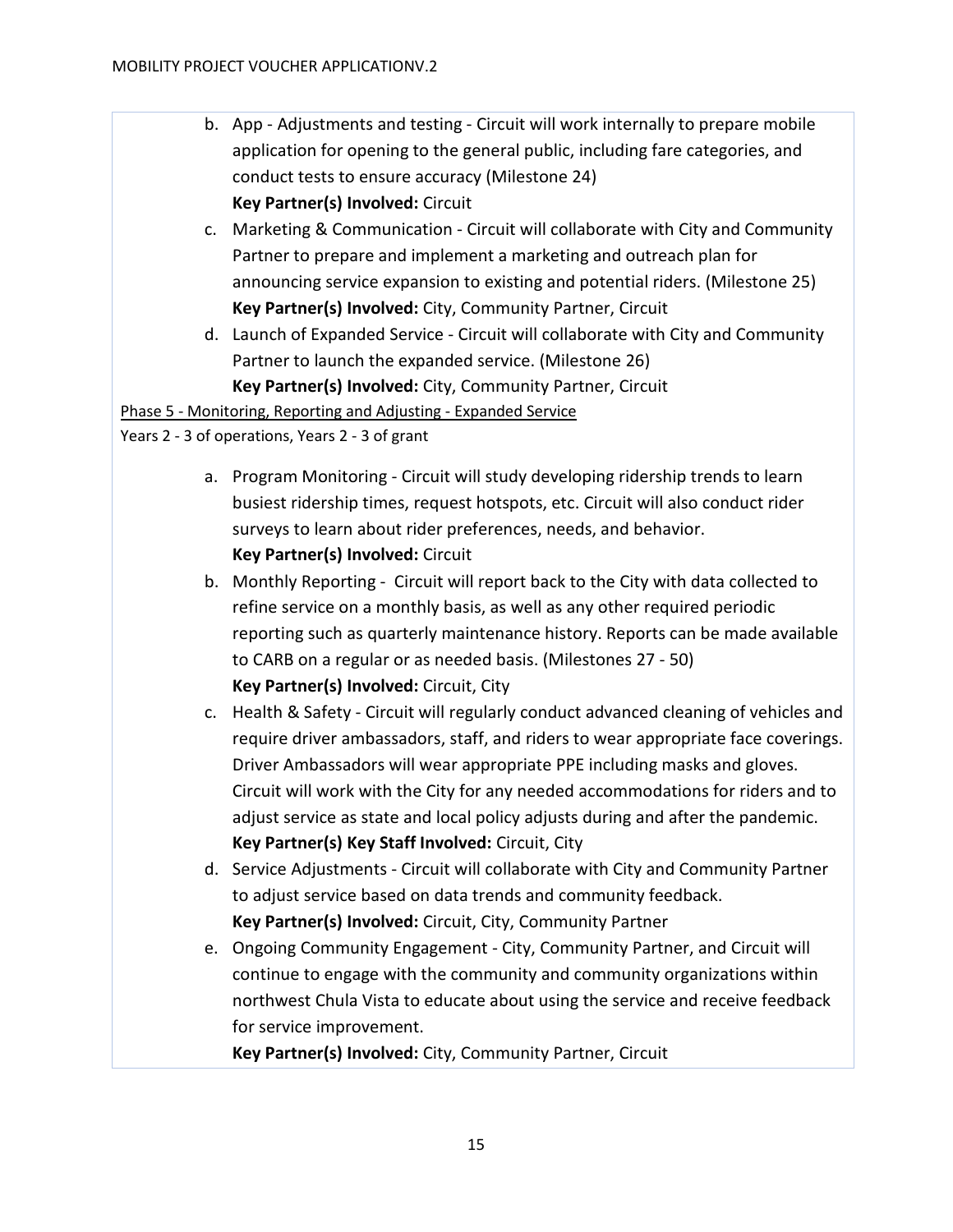- b. App Adjustments and testing Circuit will work internally to prepare mobile application for opening to the general public, including fare categories, and conduct tests to ensure accuracy (Milestone 24) **Key Partner(s) Involved:** Circuit
- c. Marketing & Communication Circuit will collaborate with City and Community Partner to prepare and implement a marketing and outreach plan for announcing service expansion to existing and potential riders. (Milestone 25) **Key Partner(s) Involved:** City, Community Partner, Circuit
- d. Launch of Expanded Service Circuit will collaborate with City and Community Partner to launch the expanded service. (Milestone 26) **Key Partner(s) Involved:** City, Community Partner, Circuit

Phase 5 - Monitoring, Reporting and Adjusting - Expanded Service

Years 2 - 3 of operations, Years 2 - 3 of grant

- a. Program Monitoring Circuit will study developing ridership trends to learn busiest ridership times, request hotspots, etc. Circuit will also conduct rider surveys to learn about rider preferences, needs, and behavior. **Key Partner(s) Involved:** Circuit
- b. Monthly Reporting Circuit will report back to the City with data collected to refine service on a monthly basis, as well as any other required periodic reporting such as quarterly maintenance history. Reports can be made available to CARB on a regular or as needed basis. (Milestones 27 - 50) **Key Partner(s) Involved:** Circuit, City
- c. Health & Safety Circuit will regularly conduct advanced cleaning of vehicles and require driver ambassadors, staff, and riders to wear appropriate face coverings. Driver Ambassadors will wear appropriate PPE including masks and gloves. Circuit will work with the City for any needed accommodations for riders and to adjust service as state and local policy adjusts during and after the pandemic. **Key Partner(s) Key Staff Involved:** Circuit, City
- d. Service Adjustments Circuit will collaborate with City and Community Partner to adjust service based on data trends and community feedback. **Key Partner(s) Involved:** Circuit, City, Community Partner
- e. Ongoing Community Engagement City, Community Partner, and Circuit will continue to engage with the community and community organizations within northwest Chula Vista to educate about using the service and receive feedback for service improvement.

**Key Partner(s) Involved:** City, Community Partner, Circuit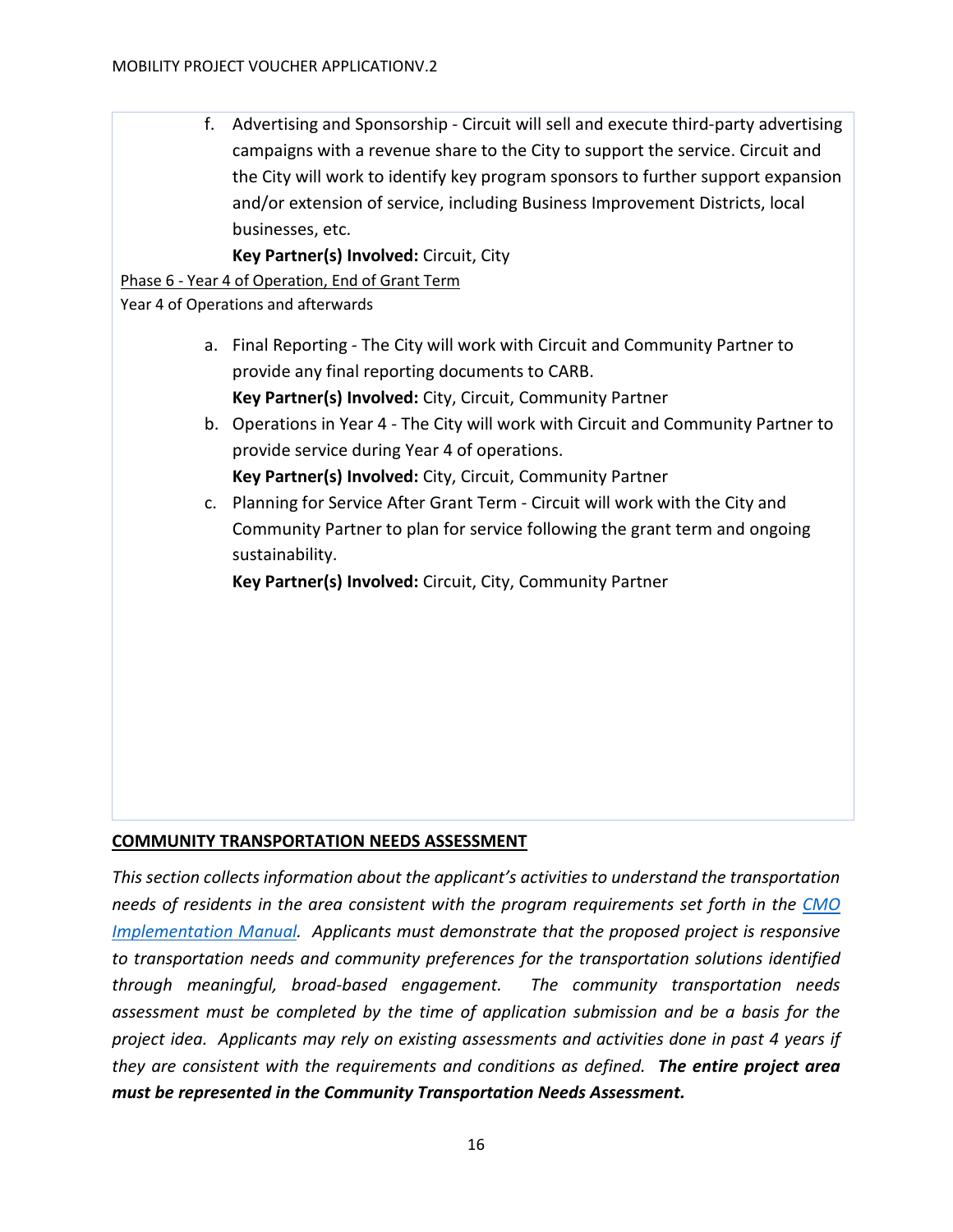f. Advertising and Sponsorship - Circuit will sell and execute third-party advertising campaigns with a revenue share to the City to support the service. Circuit and the City will work to identify key program sponsors to further support expansion and/or extension of service, including Business Improvement Districts, local businesses, etc.

**Key Partner(s) Involved:** Circuit, City

Phase 6 - Year 4 of Operation, End of Grant Term

Year 4 of Operations and afterwards

- a. Final Reporting The City will work with Circuit and Community Partner to provide any final reporting documents to CARB. **Key Partner(s) Involved:** City, Circuit, Community Partner
- b. Operations in Year 4 The City will work with Circuit and Community Partner to provide service during Year 4 of operations. **Key Partner(s) Involved:** City, Circuit, Community Partner
- c. Planning for Service After Grant Term Circuit will work with the City and Community Partner to plan for service following the grant term and ongoing sustainability.

**Key Partner(s) Involved:** Circuit, City, Community Partner

# <span id="page-15-0"></span>**COMMUNITY TRANSPORTATION NEEDS ASSESSMENT**

*This section collects information about the applicant's activities to understand the transportation needs of residents in the area consistent with the program requirements set forth in the [CMO](https://www.cleanmobilityoptions.org/implementation-manual/)  [Implementation Manual.](https://www.cleanmobilityoptions.org/implementation-manual/) Applicants must demonstrate that the proposed project is responsive to transportation needs and community preferences for the transportation solutions identified through meaningful, broad-based engagement. The community transportation needs assessment must be completed by the time of application submission and be a basis for the project idea. Applicants may rely on existing assessments and activities done in past 4 years if they are consistent with the requirements and conditions as defined. The entire project area must be represented in the Community Transportation Needs Assessment.*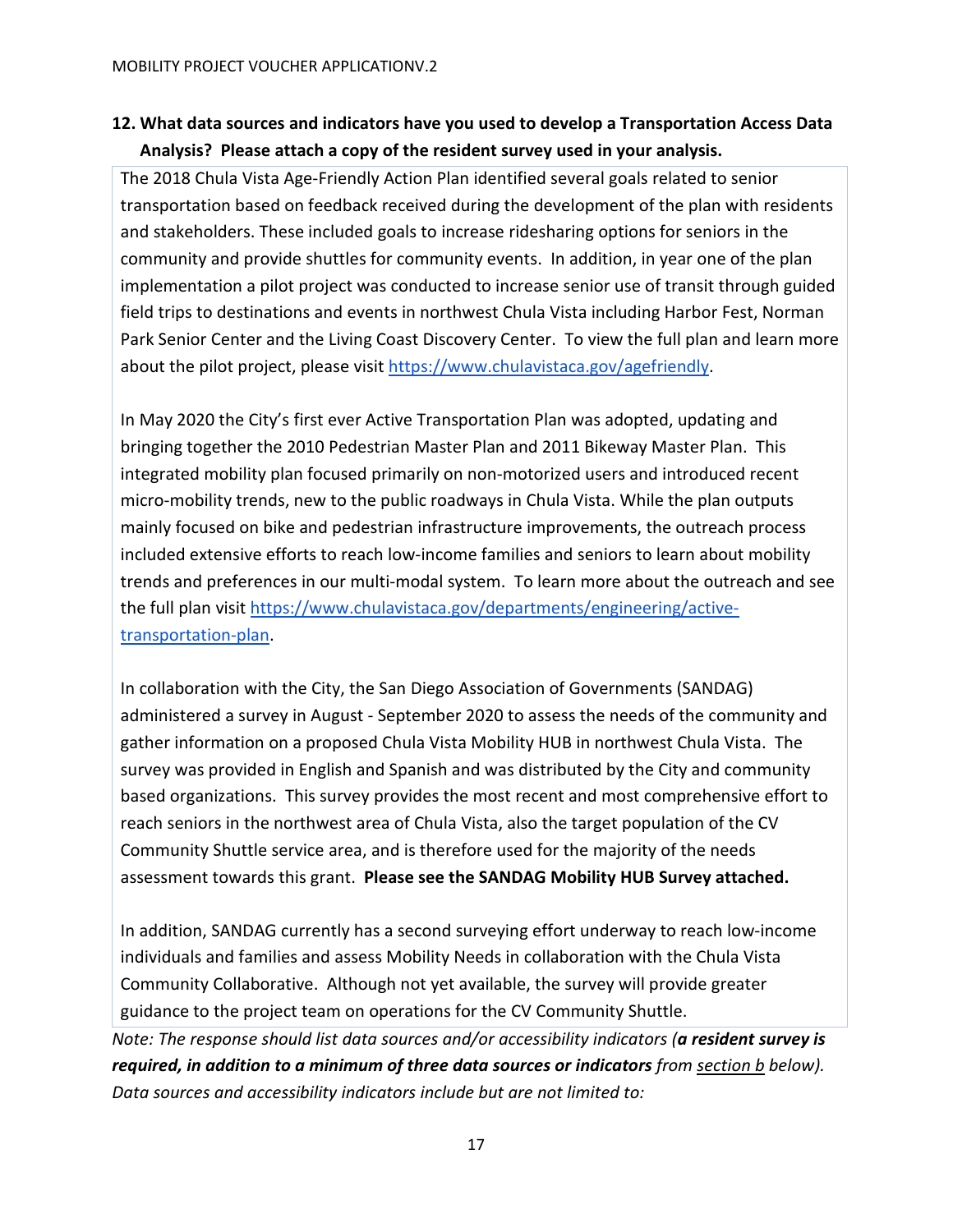# **12. What data sources and indicators have you used to develop a Transportation Access Data Analysis? Please attach a copy of the resident survey used in your analysis.**

The 2018 Chula Vista Age-Friendly Action Plan identified several goals related to senior transportation based on feedback received during the development of the plan with residents and stakeholders. These included goals to increase ridesharing options for seniors in the community and provide shuttles for community events. In addition, in year one of the plan implementation a pilot project was conducted to increase senior use of transit through guided field trips to destinations and events in northwest Chula Vista including Harbor Fest, Norman Park Senior Center and the Living Coast Discovery Center. To view the full plan and learn more about the pilot project, please visi[t https://www.chulavistaca.gov/agefriendly.](https://www.chulavistaca.gov/departments/development-services/housing/age-friendly-communities)

In May 2020 the City's first ever Active Transportation Plan was adopted, updating and bringing together the 2010 Pedestrian Master Plan and 2011 Bikeway Master Plan. This integrated mobility plan focused primarily on non-motorized users and introduced recent micro-mobility trends, new to the public roadways in Chula Vista. While the plan outputs mainly focused on bike and pedestrian infrastructure improvements, the outreach process included extensive efforts to reach low-income families and seniors to learn about mobility trends and preferences in our multi-modal system. To learn more about the outreach and see the full plan visit [https://www.chulavistaca.gov/departments/engineering/active](https://www.chulavistaca.gov/departments/engineering/active-transportation-plan)[transportation-plan.](https://www.chulavistaca.gov/departments/engineering/active-transportation-plan)

In collaboration with the City, the San Diego Association of Governments (SANDAG) administered a survey in August - September 2020 to assess the needs of the community and gather information on a proposed Chula Vista Mobility HUB in northwest Chula Vista. The survey was provided in English and Spanish and was distributed by the City and community based organizations. This survey provides the most recent and most comprehensive effort to reach seniors in the northwest area of Chula Vista, also the target population of the CV Community Shuttle service area, and is therefore used for the majority of the needs assessment towards this grant. **Please see the SANDAG Mobility HUB Survey attached.**

In addition, SANDAG currently has a second surveying effort underway to reach low-income individuals and families and assess Mobility Needs in collaboration with the Chula Vista Community Collaborative. Although not yet available, the survey will provide greater guidance to the project team on operations for the CV Community Shuttle. *Note: The response should list data sources and/or accessibility indicators (a resident survey is required, in addition to a minimum of three data sources or indicators from section b below). Data sources and accessibility indicators include but are not limited to:*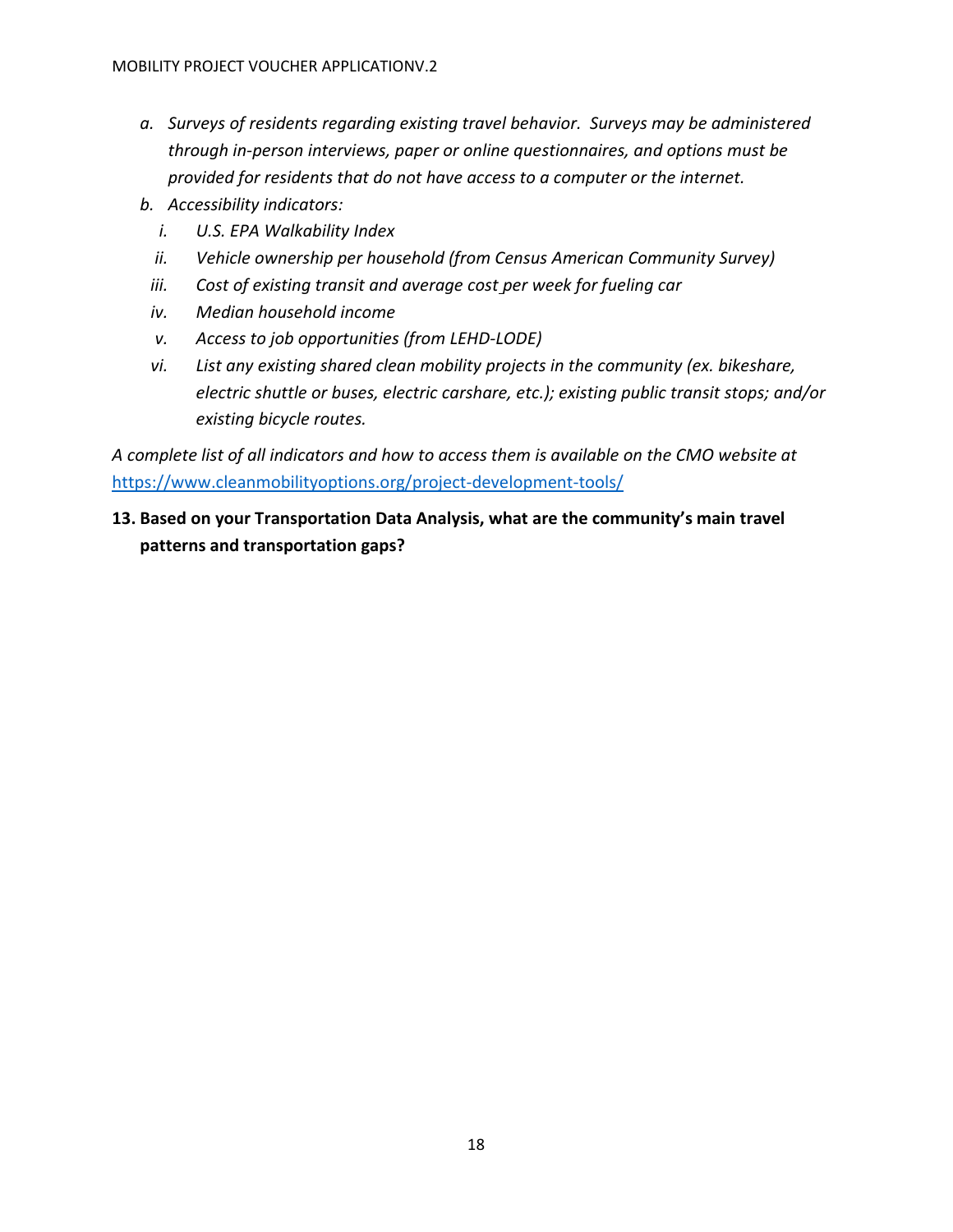- *a. Surveys of residents regarding existing travel behavior. Surveys may be administered through in-person interviews, paper or online questionnaires, and options must be provided for residents that do not have access to a computer or the internet.*
- *b. Accessibility indicators:*
	- *i. U.S. EPA Walkability Index*
	- *ii. Vehicle ownership per household (from Census American Community Survey)*
- *iii. Cost of existing transit an[d](https://gasprices.aaa.com/?state=CA) average cost per week for fueling car*
- *iv. Median household income*
- *v. Access to job opportunities [\(](https://lehd.ces.census.gov/data/)from LEHD-LODE)*
- *vi. List any existing shared clean mobility projects in the community (ex. bikeshare, electric shuttle or buses, electric carshare, etc.); existing public transit stops; and/or existing bicycle routes.*

*A complete list of all indicators and how to access them is available on the CMO website at*  <https://www.cleanmobilityoptions.org/project-development-tools/>

**13. Based on your Transportation Data Analysis, what are the community's main travel patterns and transportation gaps?**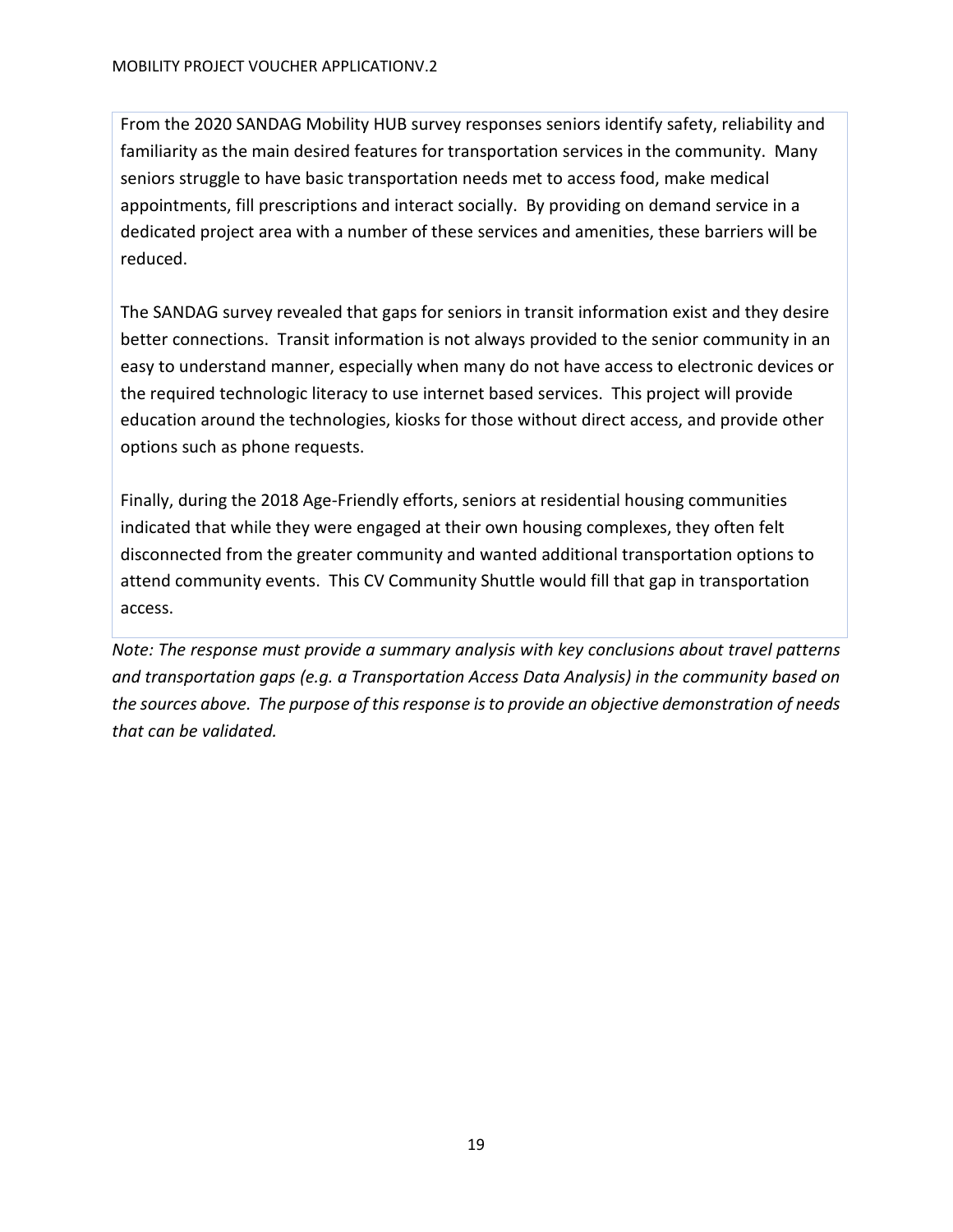From the 2020 SANDAG Mobility HUB survey responses seniors identify safety, reliability and familiarity as the main desired features for transportation services in the community. Many seniors struggle to have basic transportation needs met to access food, make medical appointments, fill prescriptions and interact socially. By providing on demand service in a dedicated project area with a number of these services and amenities, these barriers will be reduced.

The SANDAG survey revealed that gaps for seniors in transit information exist and they desire better connections. Transit information is not always provided to the senior community in an easy to understand manner, especially when many do not have access to electronic devices or the required technologic literacy to use internet based services. This project will provide education around the technologies, kiosks for those without direct access, and provide other options such as phone requests.

Finally, during the 2018 Age-Friendly efforts, seniors at residential housing communities indicated that while they were engaged at their own housing complexes, they often felt disconnected from the greater community and wanted additional transportation options to attend community events. This CV Community Shuttle would fill that gap in transportation access.

*Note: The response must provide a summary analysis with key conclusions about travel patterns and transportation gaps (e.g. a Transportation Access Data Analysis) in the community based on the sources above. The purpose of this response is to provide an objective demonstration of needs that can be validated.*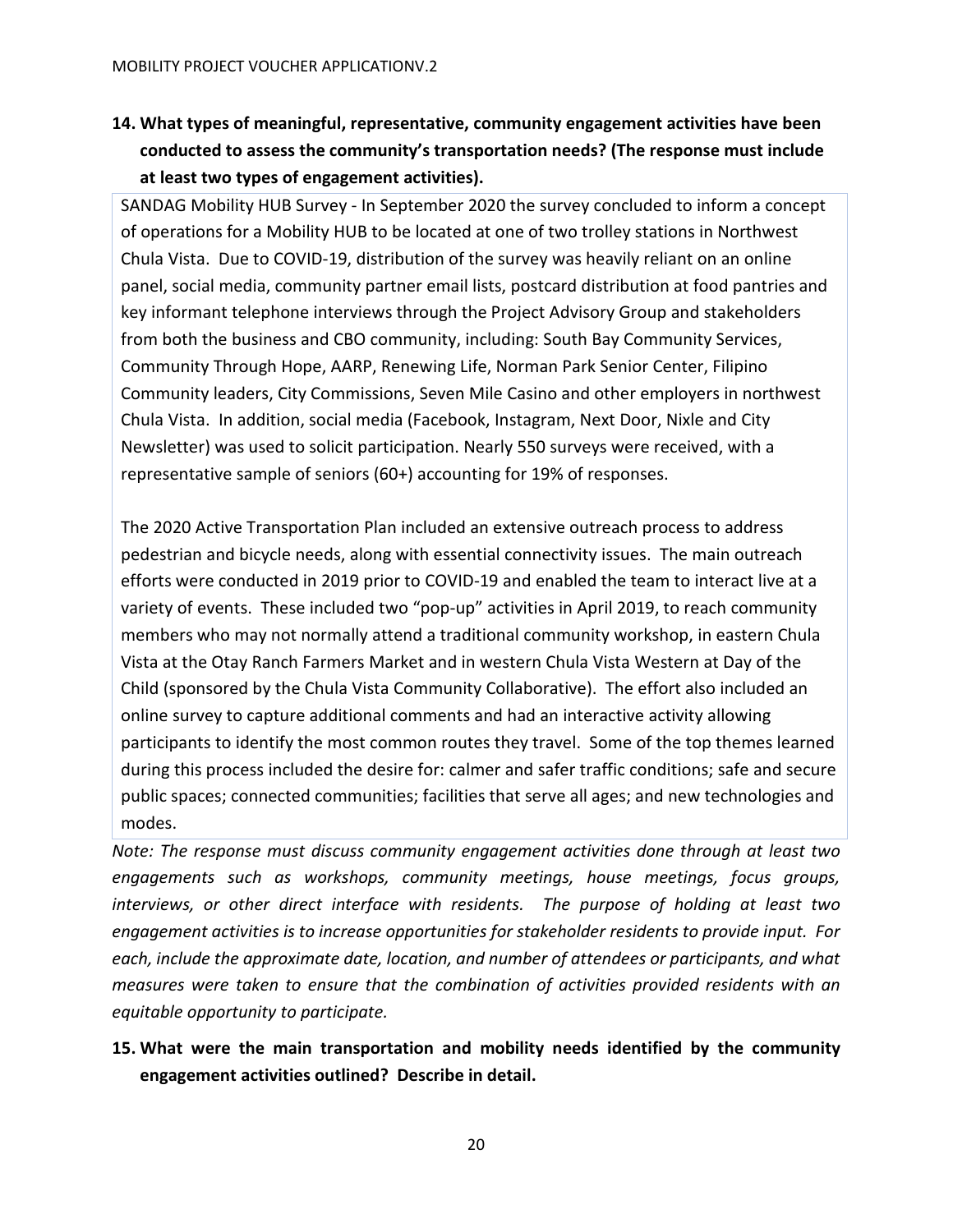# **14. What types of meaningful, representative, community engagement activities have been conducted to assess the community's transportation needs? (The response must include at least two types of engagement activities).**

SANDAG Mobility HUB Survey - In September 2020 the survey concluded to inform a concept of operations for a Mobility HUB to be located at one of two trolley stations in Northwest Chula Vista. Due to COVID-19, distribution of the survey was heavily reliant on an online panel, social media, community partner email lists, postcard distribution at food pantries and key informant telephone interviews through the Project Advisory Group and stakeholders from both the business and CBO community, including: South Bay Community Services, Community Through Hope, AARP, Renewing Life, Norman Park Senior Center, Filipino Community leaders, City Commissions, Seven Mile Casino and other employers in northwest Chula Vista. In addition, social media (Facebook, Instagram, Next Door, Nixle and City Newsletter) was used to solicit participation. Nearly 550 surveys were received, with a representative sample of seniors (60+) accounting for 19% of responses.

The 2020 Active Transportation Plan included an extensive outreach process to address pedestrian and bicycle needs, along with essential connectivity issues. The main outreach efforts were conducted in 2019 prior to COVID-19 and enabled the team to interact live at a variety of events. These included two "pop-up" activities in April 2019, to reach community members who may not normally attend a traditional community workshop, in eastern Chula Vista at the Otay Ranch Farmers Market and in western Chula Vista Western at Day of the Child (sponsored by the Chula Vista Community Collaborative). The effort also included an online survey to capture additional comments and had an interactive activity allowing participants to identify the most common routes they travel. Some of the top themes learned during this process included the desire for: calmer and safer traffic conditions; safe and secure public spaces; connected communities; facilities that serve all ages; and new technologies and modes.

*Note: The response must discuss community engagement activities done through at least two engagements such as workshops, community meetings, house meetings, focus groups, interviews, or other direct interface with residents. The purpose of holding at least two engagement activities is to increase opportunities for stakeholder residents to provide input. For each, include the approximate date, location, and number of attendees or participants, and what measures were taken to ensure that the combination of activities provided residents with an equitable opportunity to participate.* 

# **15. What were the main transportation and mobility needs identified by the community engagement activities outlined? Describe in detail.**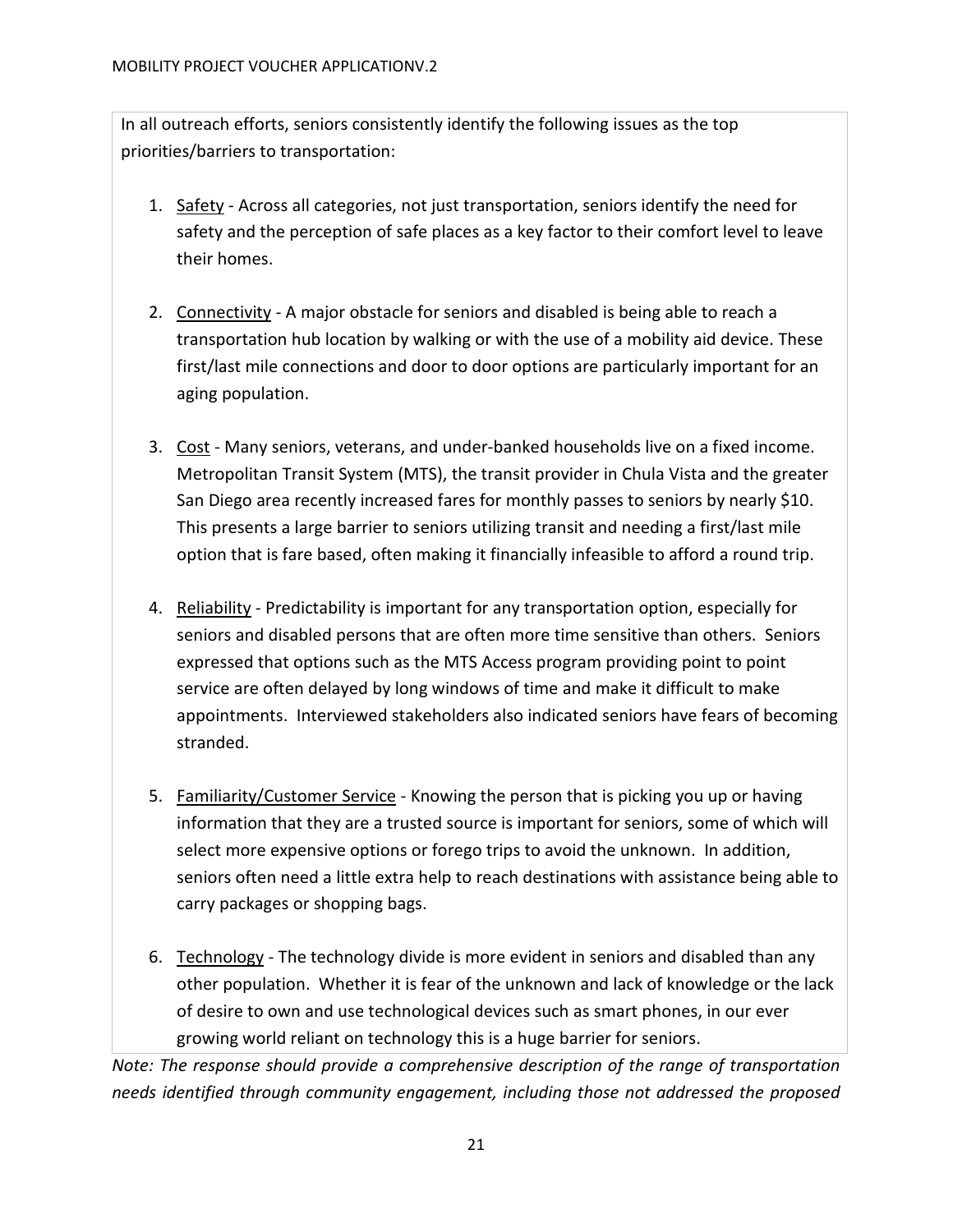In all outreach efforts, seniors consistently identify the following issues as the top priorities/barriers to transportation:

- 1. Safety Across all categories, not just transportation, seniors identify the need for safety and the perception of safe places as a key factor to their comfort level to leave their homes.
- 2. Connectivity A major obstacle for seniors and disabled is being able to reach a transportation hub location by walking or with the use of a mobility aid device. These first/last mile connections and door to door options are particularly important for an aging population.
- 3. Cost Many seniors, veterans, and under-banked households live on a fixed income. Metropolitan Transit System (MTS), the transit provider in Chula Vista and the greater San Diego area recently increased fares for monthly passes to seniors by nearly \$10. This presents a large barrier to seniors utilizing transit and needing a first/last mile option that is fare based, often making it financially infeasible to afford a round trip.
- 4. Reliability Predictability is important for any transportation option, especially for seniors and disabled persons that are often more time sensitive than others. Seniors expressed that options such as the MTS Access program providing point to point service are often delayed by long windows of time and make it difficult to make appointments. Interviewed stakeholders also indicated seniors have fears of becoming stranded.
- 5. Familiarity/Customer Service Knowing the person that is picking you up or having information that they are a trusted source is important for seniors, some of which will select more expensive options or forego trips to avoid the unknown. In addition, seniors often need a little extra help to reach destinations with assistance being able to carry packages or shopping bags.
- 6. Technology The technology divide is more evident in seniors and disabled than any other population. Whether it is fear of the unknown and lack of knowledge or the lack of desire to own and use technological devices such as smart phones, in our ever growing world reliant on technology this is a huge barrier for seniors.

*Note: The response should provide a comprehensive description of the range of transportation needs identified through community engagement, including those not addressed the proposed*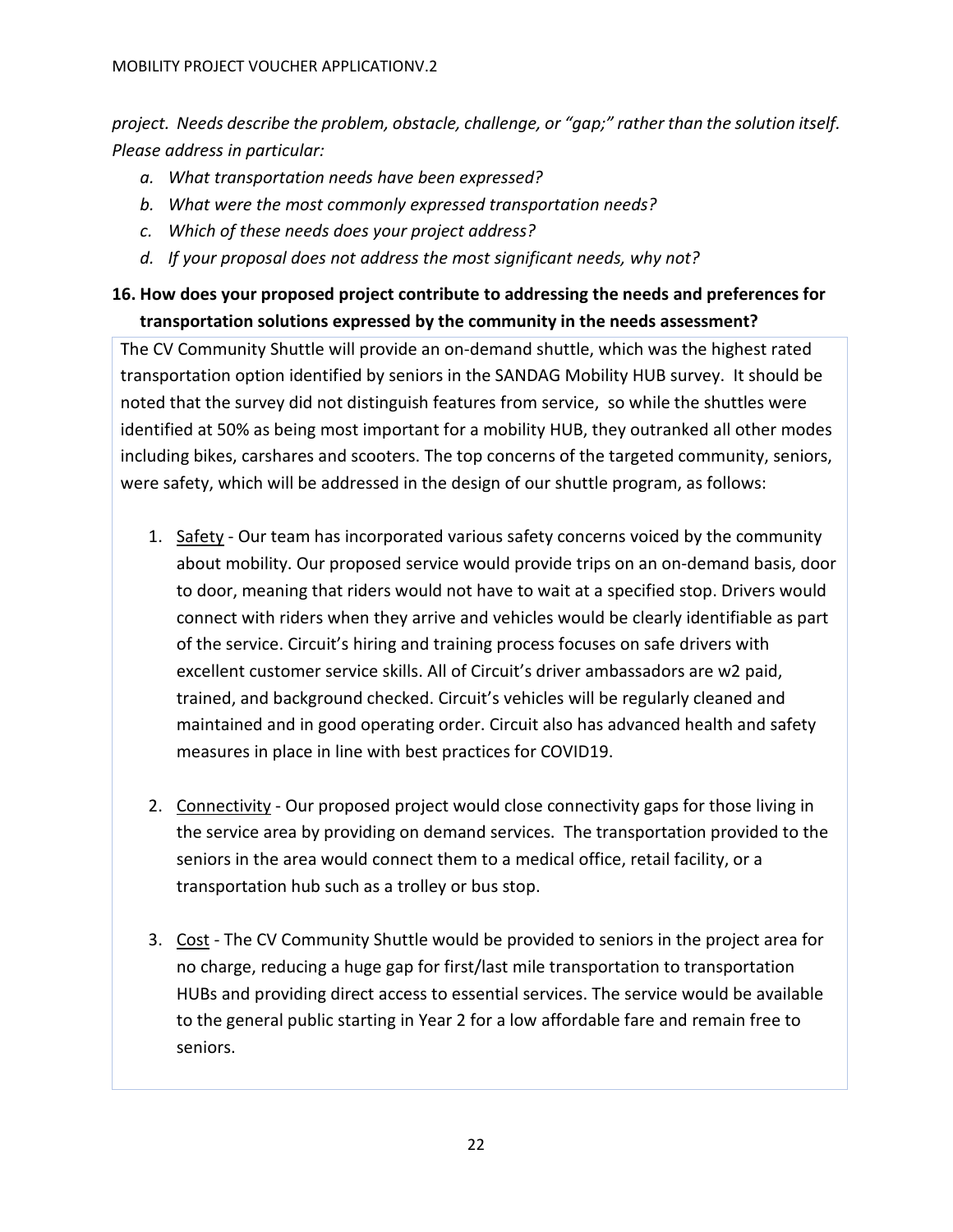*project. Needs describe the problem, obstacle, challenge, or "gap;" rather than the solution itself. Please address in particular:*

- *a. What transportation needs have been expressed?*
- *b. What were the most commonly expressed transportation needs?*
- *c. Which of these needs does your project address?*
- *d. If your proposal does not address the most significant needs, why not?*

# **16. How does your proposed project contribute to addressing the needs and preferences for transportation solutions expressed by the community in the needs assessment?**

The CV Community Shuttle will provide an on-demand shuttle, which was the highest rated transportation option identified by seniors in the SANDAG Mobility HUB survey. It should be noted that the survey did not distinguish features from service, so while the shuttles were identified at 50% as being most important for a mobility HUB, they outranked all other modes including bikes, carshares and scooters. The top concerns of the targeted community, seniors, were safety, which will be addressed in the design of our shuttle program, as follows:

- 1. Safety Our team has incorporated various safety concerns voiced by the community about mobility. Our proposed service would provide trips on an on-demand basis, door to door, meaning that riders would not have to wait at a specified stop. Drivers would connect with riders when they arrive and vehicles would be clearly identifiable as part of the service. Circuit's hiring and training process focuses on safe drivers with excellent customer service skills. All of Circuit's driver ambassadors are w2 paid, trained, and background checked. Circuit's vehicles will be regularly cleaned and maintained and in good operating order. Circuit also has advanced health and safety measures in place in line with best practices for COVID19.
- 2. Connectivity Our proposed project would close connectivity gaps for those living in the service area by providing on demand services. The transportation provided to the seniors in the area would connect them to a medical office, retail facility, or a transportation hub such as a trolley or bus stop.
- 3. Cost The CV Community Shuttle would be provided to seniors in the project area for no charge, reducing a huge gap for first/last mile transportation to transportation HUBs and providing direct access to essential services. The service would be available to the general public starting in Year 2 for a low affordable fare and remain free to seniors.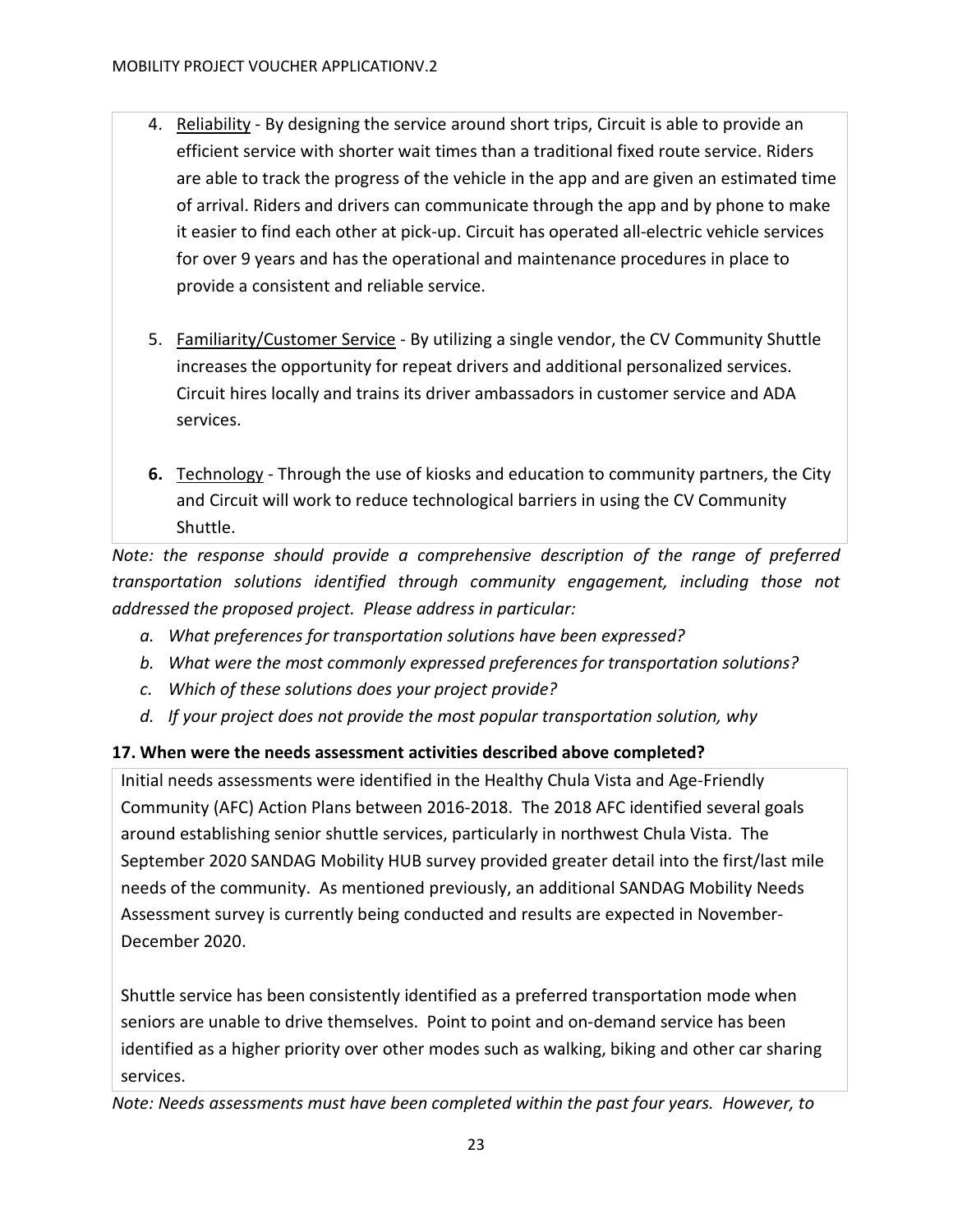- 4. Reliability By designing the service around short trips, Circuit is able to provide an efficient service with shorter wait times than a traditional fixed route service. Riders are able to track the progress of the vehicle in the app and are given an estimated time of arrival. Riders and drivers can communicate through the app and by phone to make it easier to find each other at pick-up. Circuit has operated all-electric vehicle services for over 9 years and has the operational and maintenance procedures in place to provide a consistent and reliable service.
- 5. Familiarity/Customer Service By utilizing a single vendor, the CV Community Shuttle increases the opportunity for repeat drivers and additional personalized services. Circuit hires locally and trains its driver ambassadors in customer service and ADA services.
- **6.** Technology Through the use of kiosks and education to community partners, the City and Circuit will work to reduce technological barriers in using the CV Community Shuttle.

*Note: the response should provide a comprehensive description of the range of preferred transportation solutions identified through community engagement, including those not addressed the proposed project. Please address in particular:*

- *a. What preferences for transportation solutions have been expressed?*
- *b. What were the most commonly expressed preferences for transportation solutions?*
- *c. Which of these solutions does your project provide?*
- *d. If your project does not provide the most popular transportation solution, why*

# **17. When were the needs assessment activities described above completed?**

Initial needs assessments were identified in the Healthy Chula Vista and Age-Friendly Community (AFC) Action Plans between 2016-2018. The 2018 AFC identified several goals around establishing senior shuttle services, particularly in northwest Chula Vista. The September 2020 SANDAG Mobility HUB survey provided greater detail into the first/last mile needs of the community. As mentioned previously, an additional SANDAG Mobility Needs Assessment survey is currently being conducted and results are expected in November-December 2020.

Shuttle service has been consistently identified as a preferred transportation mode when seniors are unable to drive themselves. Point to point and on-demand service has been identified as a higher priority over other modes such as walking, biking and other car sharing services.

*Note: Needs assessments must have been completed within the past four years. However, to*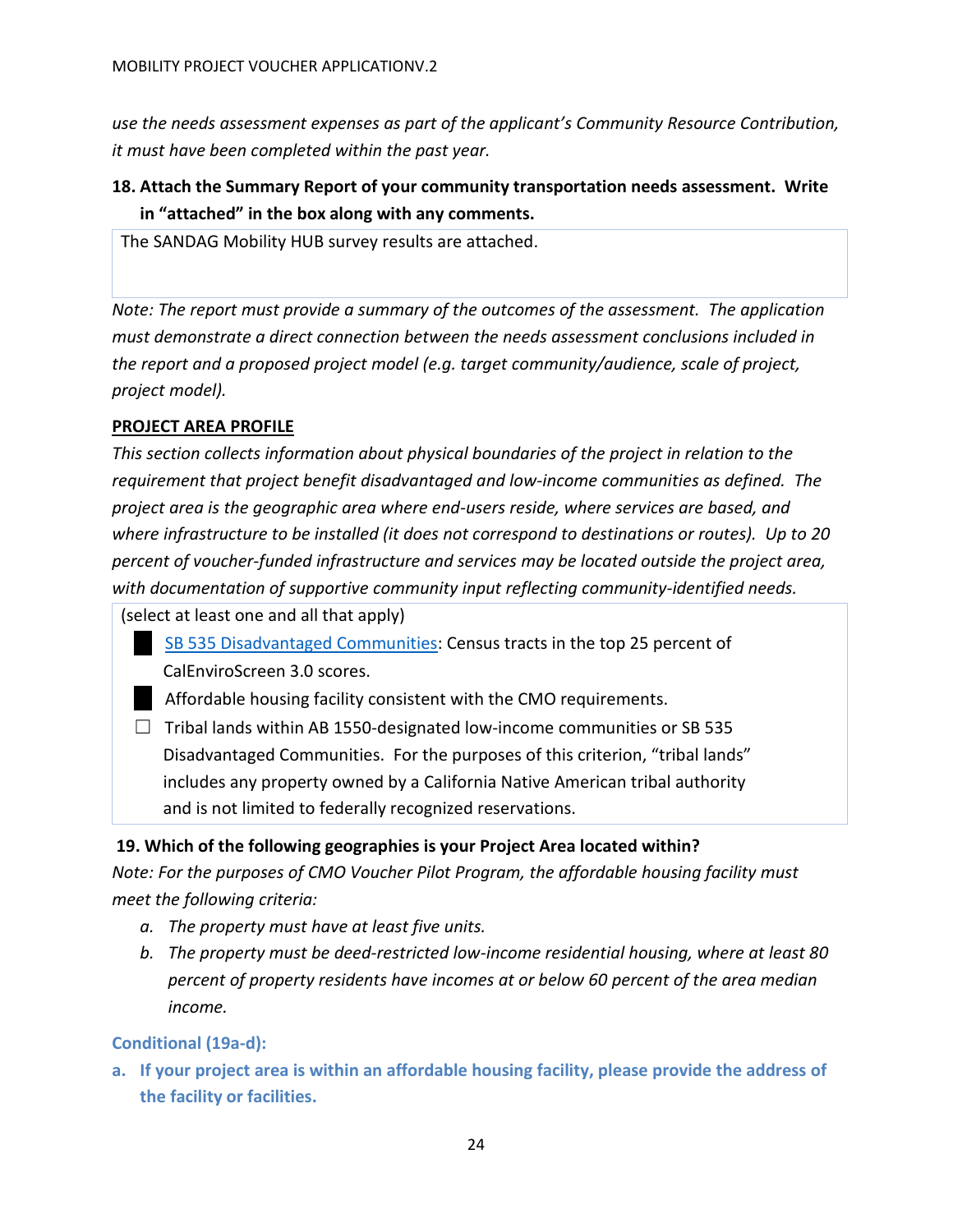*use the needs assessment expenses as part of the applicant's Community Resource Contribution, it must have been completed within the past year.*

**18. Attach the Summary Report of your community transportation needs assessment. Write in "attached" in the box along with any comments.** 

The SANDAG Mobility HUB survey results are attached.

*Note: The report must provide a summary of the outcomes of the assessment. The application must demonstrate a direct connection between the needs assessment conclusions included in the report and a proposed project model (e.g. target community/audience, scale of project, project model).*

# <span id="page-23-0"></span>**PROJECT AREA PROFILE**

*This section collects information about physical boundaries of the project in relation to the requirement that project benefit disadvantaged and low-income communities as defined. The project area is the geographic area where end-users reside, where services are based, and where infrastructure to be installed (it does not correspond to destinations or routes). Up to 20 percent of voucher-funded infrastructure and services may be located outside the project area, with documentation of supportive community input reflecting community-identified needs.* 

(select at least one and all that apply)

- [SB 535 Disadvantaged Communities:](https://oehha.maps.arcgis.com/apps/View/index.html?appid=c3e4e4e1d115468390cf61d9db83efc4) Census tracts in the top 25 percent of CalEnviroScreen 3.0 scores.
- ☐ Affordable housing facility consistent with the CMO requirements.
- $\Box$  Tribal lands within AB 1550-designated low-income communities or SB 535 Disadvantaged Communities. For the purposes of this criterion, "tribal lands" includes any property owned by a California Native American tribal authority and is not limited to federally recognized reservations.

# **19. Which of the following geographies is your Project Area located within?**

*Note: For the purposes of CMO Voucher Pilot Program, the affordable housing facility must meet the following criteria:*

- *a. The property must have at least five units.*
- *b. The property must be deed-restricted low-income residential housing, where at least 80 percent of property residents have incomes at or below 60 percent of the area median income.*

# **Conditional (19a-d):**

**a. If your project area is within an affordable housing facility, please provide the address of the facility or facilities.**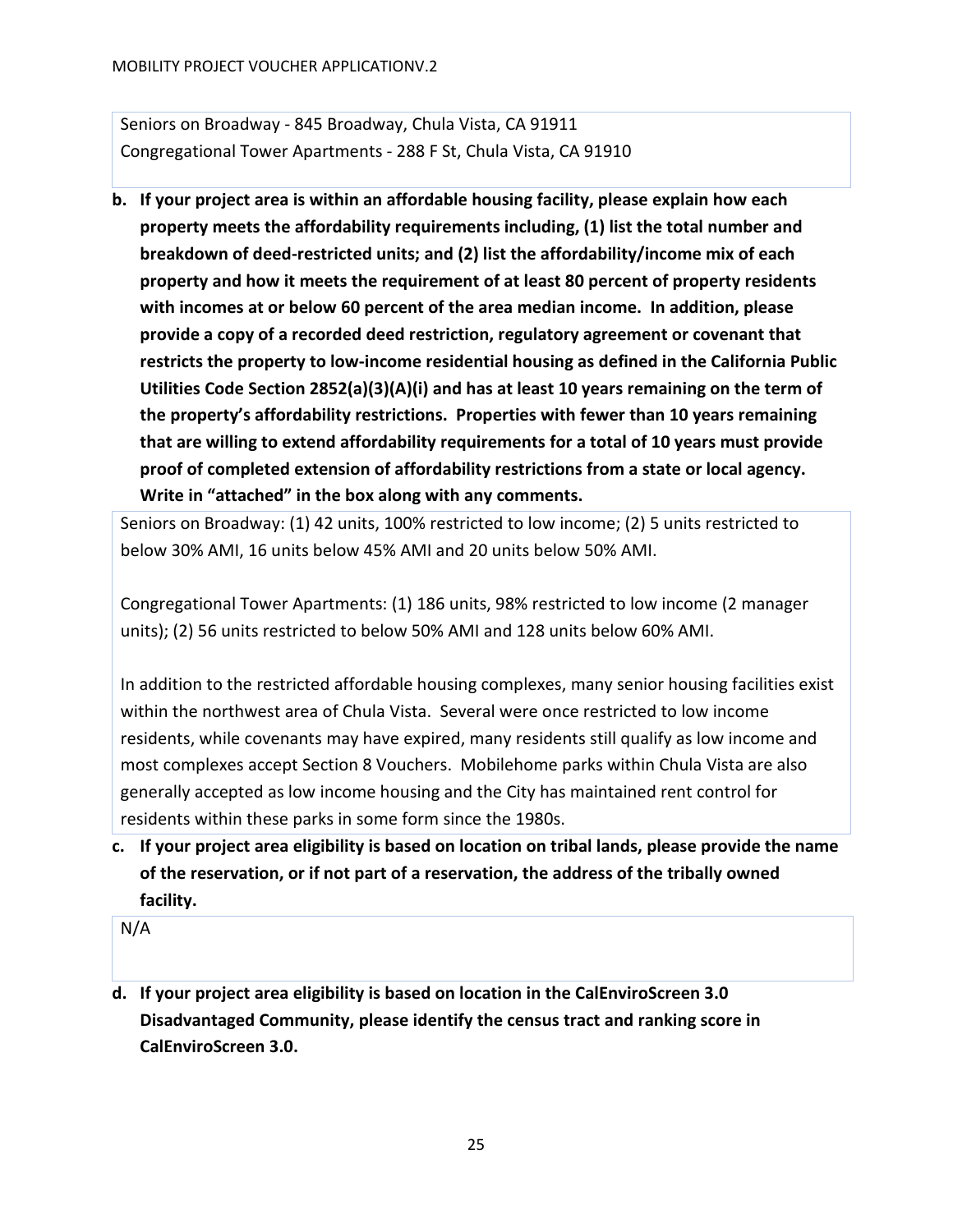Seniors on Broadway - [845 Broadway, Chula Vista, CA 91911](https://www.bing.com/local?lid=YN93x186204999&id=YN93x186204999&q=Seniors+On+Broadway&name=Seniors+On+Broadway&cp=32.61931228637695%7e-117.08463287353516&ppois=32.61931228637695_-117.08463287353516_Seniors+On+Broadway) Congregational Tower Apartments - [288 F St, Chula Vista, CA 91910](https://www.bing.com/maps?&ty=18&q=Congregational%20Tower%20Apartments&satid=id.sid%3aa0e8304b-915b-47e6-b8d4-2c72df54603d&ppois=32.641517639160156_-117.07904815673828_Congregational%20Tower%20Apartments_%7E&cp=32.641518%7E-117.079048&v=2&sV=1)

**b. If your project area is within an affordable housing facility, please explain how each property meets the affordability requirements including, (1) list the total number and breakdown of deed-restricted units; and (2) list the affordability/income mix of each property and how it meets the requirement of at least 80 percent of property residents with incomes at or below 60 percent of the area median income. In addition, please provide a copy of a recorded deed restriction, regulatory agreement or covenant that restricts the property to low-income residential housing as defined in the California Public Utilities Code Section 2852(a)(3)(A)(i) and has at least 10 years remaining on the term of the property's affordability restrictions. Properties with fewer than 10 years remaining that are willing to extend affordability requirements for a total of 10 years must provide proof of completed extension of affordability restrictions from a state or local agency. Write in "attached" in the box along with any comments.**

Seniors on Broadway: (1) 42 units, 100% restricted to low income; (2) 5 units restricted to below 30% AMI, 16 units below 45% AMI and 20 units below 50% AMI.

Congregational Tower Apartments: (1) 186 units, 98% restricted to low income (2 manager units); (2) 56 units restricted to below 50% AMI and 128 units below 60% AMI.

In addition to the restricted affordable housing complexes, many senior housing facilities exist within the northwest area of Chula Vista. Several were once restricted to low income residents, while covenants may have expired, many residents still qualify as low income and most complexes accept Section 8 Vouchers. Mobilehome parks within Chula Vista are also generally accepted as low income housing and the City has maintained rent control for residents within these parks in some form since the 1980s.

**c. If your project area eligibility is based on location on tribal lands, please provide the name of the reservation, or if not part of a reservation, the address of the tribally owned facility.**

N/A

**d. If your project area eligibility is based on location in the CalEnviroScreen 3.0 Disadvantaged Community, please identify the census tract and ranking score in CalEnviroScreen 3.0.**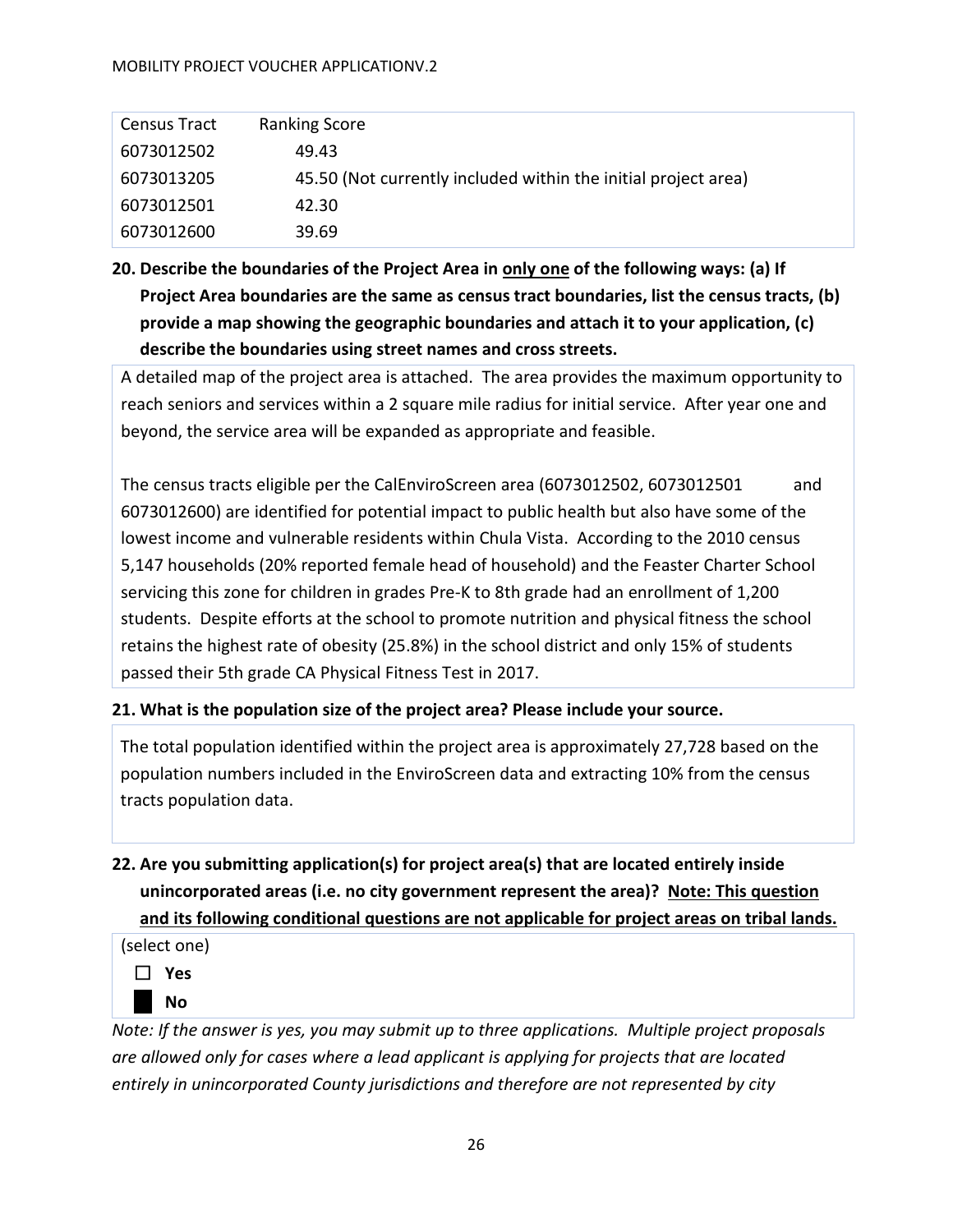#### MOBILITY PROJECT VOUCHER APPLICATIONV.2

| <b>Census Tract</b> | <b>Ranking Score</b>                                           |
|---------------------|----------------------------------------------------------------|
| 6073012502          | 49.43                                                          |
| 6073013205          | 45.50 (Not currently included within the initial project area) |
| 6073012501          | 42.30                                                          |
| 6073012600          | 39.69                                                          |

**20. Describe the boundaries of the Project Area in only one of the following ways: (a) If Project Area boundaries are the same as census tract boundaries, list the census tracts, (b) provide a map showing the geographic boundaries and attach it to your application, (c) describe the boundaries using street names and cross streets.** 

A detailed map of the project area is attached. The area provides the maximum opportunity to reach seniors and services within a 2 square mile radius for initial service. After year one and beyond, the service area will be expanded as appropriate and feasible.

The census tracts eligible per the CalEnviroScreen area (6073012502, 6073012501 and 6073012600) are identified for potential impact to public health but also have some of the lowest income and vulnerable residents within Chula Vista. According to the 2010 census 5,147 households (20% reported female head of household) and the Feaster Charter School servicing this zone for children in grades Pre-K to 8th grade had an enrollment of 1,200 students. Despite efforts at the school to promote nutrition and physical fitness the school retains the highest rate of obesity (25.8%) in the school district and only 15% of students passed their 5th grade CA Physical Fitness Test in 2017.

# **21. What is the population size of the project area? Please include your source.**

The total population identified within the project area is approximately 27,728 based on the population numbers included in the EnviroScreen data and extracting 10% from the census tracts population data.

# **22. Are you submitting application(s) for project area(s) that are located entirely inside unincorporated areas (i.e. no city government represent the area)? Note: This question and its following conditional questions are not applicable for project areas on tribal lands.**

(select one)



*Note: If the answer is yes, you may submit up to three applications. Multiple project proposals are allowed only for cases where a lead applicant is applying for projects that are located entirely in unincorporated County jurisdictions and therefore are not represented by city*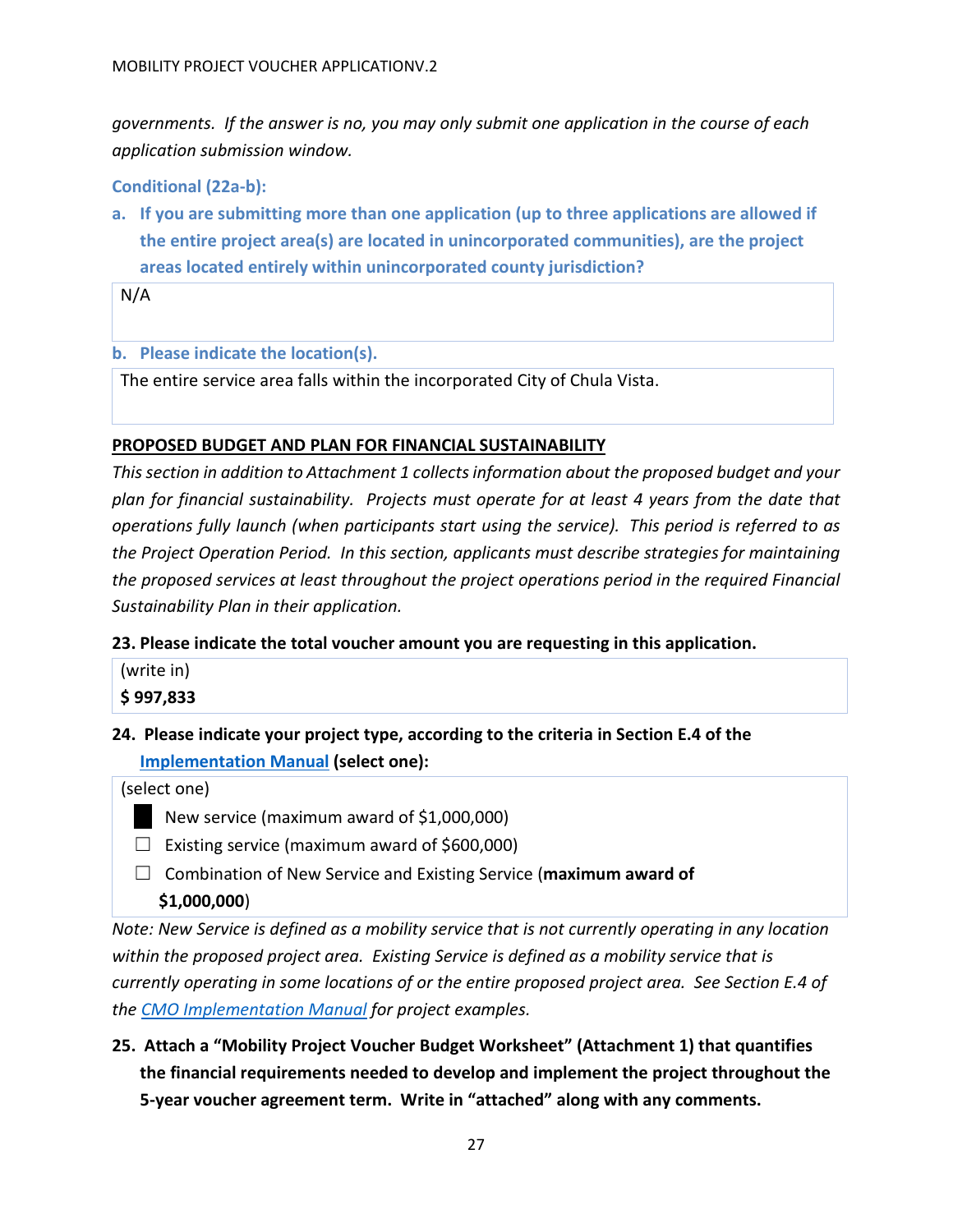*governments. If the answer is no, you may only submit one application in the course of each application submission window.* 

## **Conditional (22a-b):**

**a. If you are submitting more than one application (up to three applications are allowed if the entire project area(s) are located in unincorporated communities), are the project areas located entirely within unincorporated county jurisdiction?** 

N/A

#### **b. Please indicate the location(s).**

The entire service area falls within the incorporated City of Chula Vista.

## <span id="page-26-0"></span>**PROPOSED BUDGET AND PLAN FOR FINANCIAL SUSTAINABILITY**

*This section in addition to Attachment 1 collects information about the proposed budget and your plan for financial sustainability. Projects must operate for at least 4 years from the date that operations fully launch (when participants start using the service). This period is referred to as the Project Operation Period. In this section, applicants must describe strategies for maintaining the proposed services at least throughout the project operations period in the required Financial Sustainability Plan in their application.* 

#### **23. Please indicate the total voucher amount you are requesting in this application.**

# **24. Please indicate your project type, according to the criteria in Section E.4 of the [Implementation Manual](https://www.cleanmobilityoptions.org/implementation-manual/) (select one):**

#### (select one)

- New service (maximum award of \$1,000,000)
- $\Box$  Existing service (maximum award of \$600,000)
- ☐ Combination of New Service and Existing Service (**maximum award of**

#### **\$1,000,000**)

*Note: New Service is defined as a mobility service that is not currently operating in any location within the proposed project area. Existing Service is defined as a mobility service that is currently operating in some locations of or the entire proposed project area. See Section E.4 of the [CMO Implementation Manual](https://www.cleanmobilityoptions.org/implementation-manual/) for project examples.*

**25. Attach a "Mobility Project Voucher Budget Worksheet" (Attachment 1) that quantifies the financial requirements needed to develop and implement the project throughout the 5-year voucher agreement term. Write in "attached" along with any comments.**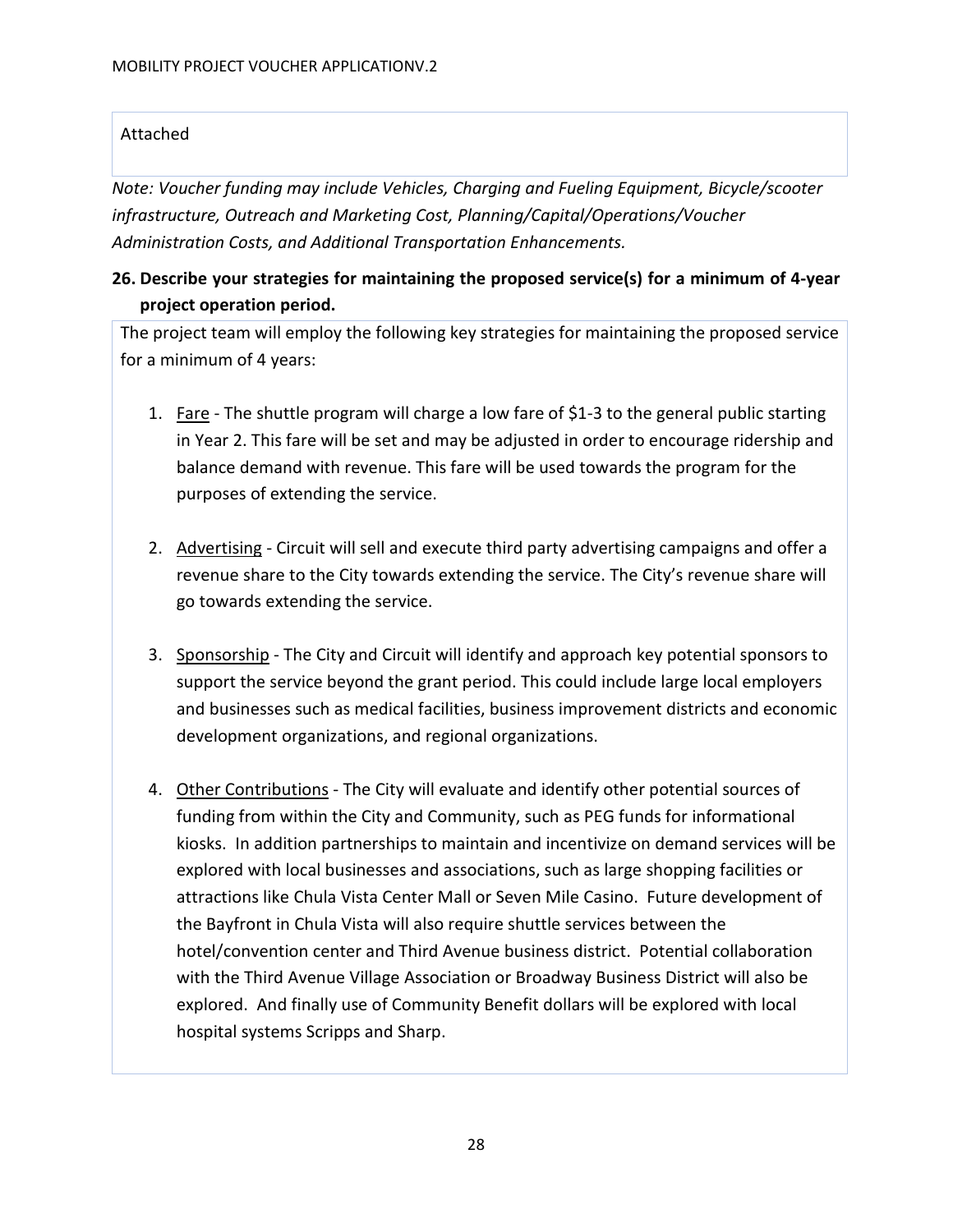# Attached

*Note: Voucher funding may include Vehicles, Charging and Fueling Equipment, Bicycle/scooter infrastructure, Outreach and Marketing Cost, Planning/Capital/Operations/Voucher Administration Costs, and Additional Transportation Enhancements.*

# **26. Describe your strategies for maintaining the proposed service(s) for a minimum of 4-year project operation period.**

The project team will employ the following key strategies for maintaining the proposed service for a minimum of 4 years:

- 1. Fare The shuttle program will charge a low fare of \$1-3 to the general public starting in Year 2. This fare will be set and may be adjusted in order to encourage ridership and balance demand with revenue. This fare will be used towards the program for the purposes of extending the service.
- 2. Advertising Circuit will sell and execute third party advertising campaigns and offer a revenue share to the City towards extending the service. The City's revenue share will go towards extending the service.
- 3. Sponsorship The City and Circuit will identify and approach key potential sponsors to support the service beyond the grant period. This could include large local employers and businesses such as medical facilities, business improvement districts and economic development organizations, and regional organizations.
- 4. Other Contributions The City will evaluate and identify other potential sources of funding from within the City and Community, such as PEG funds for informational kiosks. In addition partnerships to maintain and incentivize on demand services will be explored with local businesses and associations, such as large shopping facilities or attractions like Chula Vista Center Mall or Seven Mile Casino. Future development of the Bayfront in Chula Vista will also require shuttle services between the hotel/convention center and Third Avenue business district. Potential collaboration with the Third Avenue Village Association or Broadway Business District will also be explored. And finally use of Community Benefit dollars will be explored with local hospital systems Scripps and Sharp.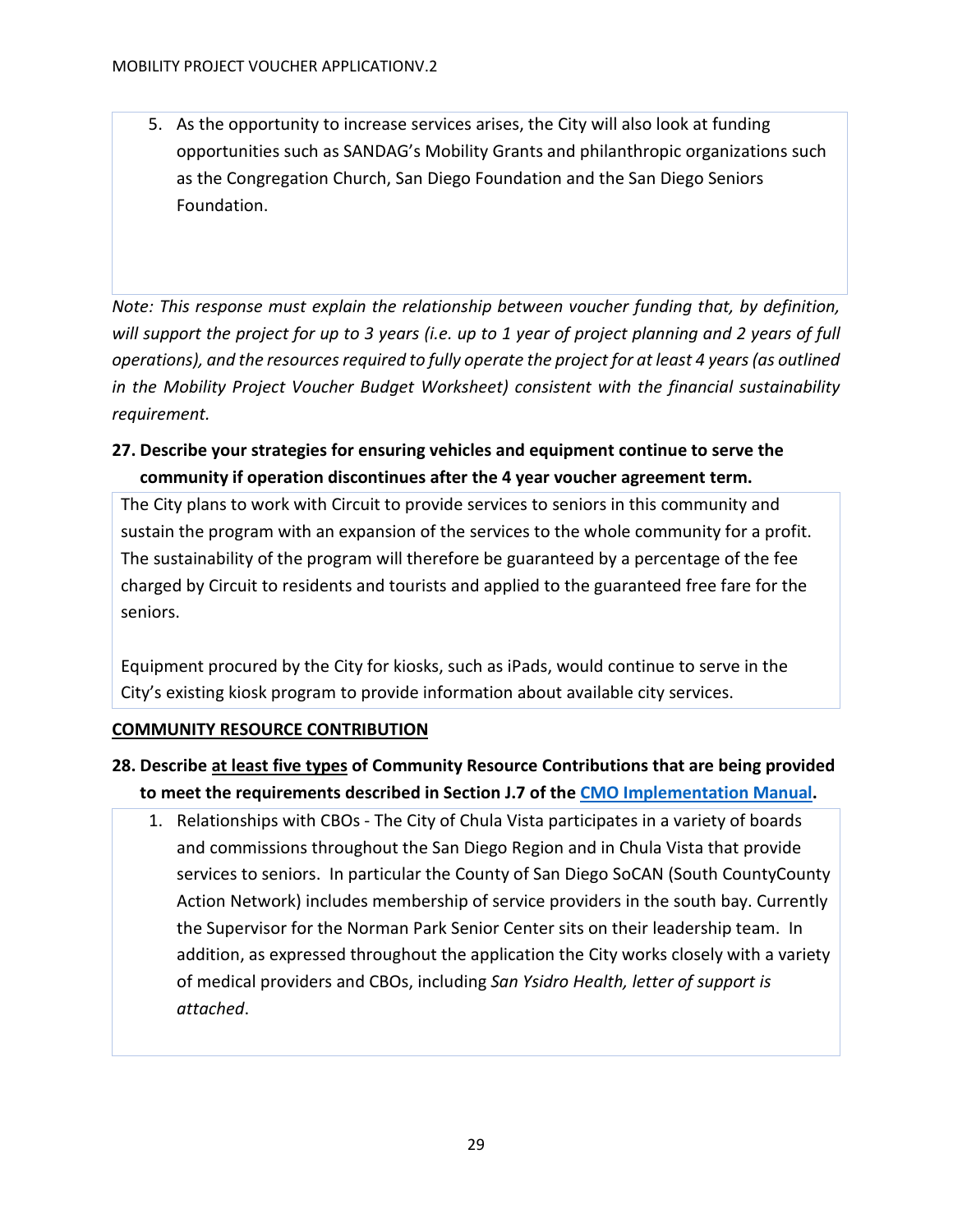5. As the opportunity to increase services arises, the City will also look at funding opportunities such as SANDAG's Mobility Grants and philanthropic organizations such as the Congregation Church, San Diego Foundation and the San Diego Seniors Foundation.

*Note: This response must explain the relationship between voucher funding that, by definition, will support the project for up to 3 years (i.e. up to 1 year of project planning and 2 years of full operations), and the resources required to fully operate the project for at least 4 years (as outlined in the Mobility Project Voucher Budget Worksheet) consistent with the financial sustainability requirement.*

**27. Describe your strategies for ensuring vehicles and equipment continue to serve the community if operation discontinues after the 4 year voucher agreement term.** 

The City plans to work with Circuit to provide services to seniors in this community and sustain the program with an expansion of the services to the whole community for a profit. The sustainability of the program will therefore be guaranteed by a percentage of the fee charged by Circuit to residents and tourists and applied to the guaranteed free fare for the seniors.

Equipment procured by the City for kiosks, such as iPads, would continue to serve in the City's existing kiosk program to provide information about available city services.

# <span id="page-28-0"></span>**COMMUNITY RESOURCE CONTRIBUTION**

- **28. Describe at least five types of Community Resource Contributions that are being provided to meet the requirements described in Section J.7 of th[e CMO Implementation Manual.](https://www.cleanmobilityoptions.org/implementation-manual/)** 
	- 1. Relationships with CBOs The City of Chula Vista participates in a variety of boards and commissions throughout the San Diego Region and in Chula Vista that provide services to seniors. In particular the County of San Diego SoCAN (South CountyCounty Action Network) includes membership of service providers in the south bay. Currently the Supervisor for the Norman Park Senior Center sits on their leadership team. In addition, as expressed throughout the application the City works closely with a variety of medical providers and CBOs, including *San Ysidro Health, letter of support is attached*.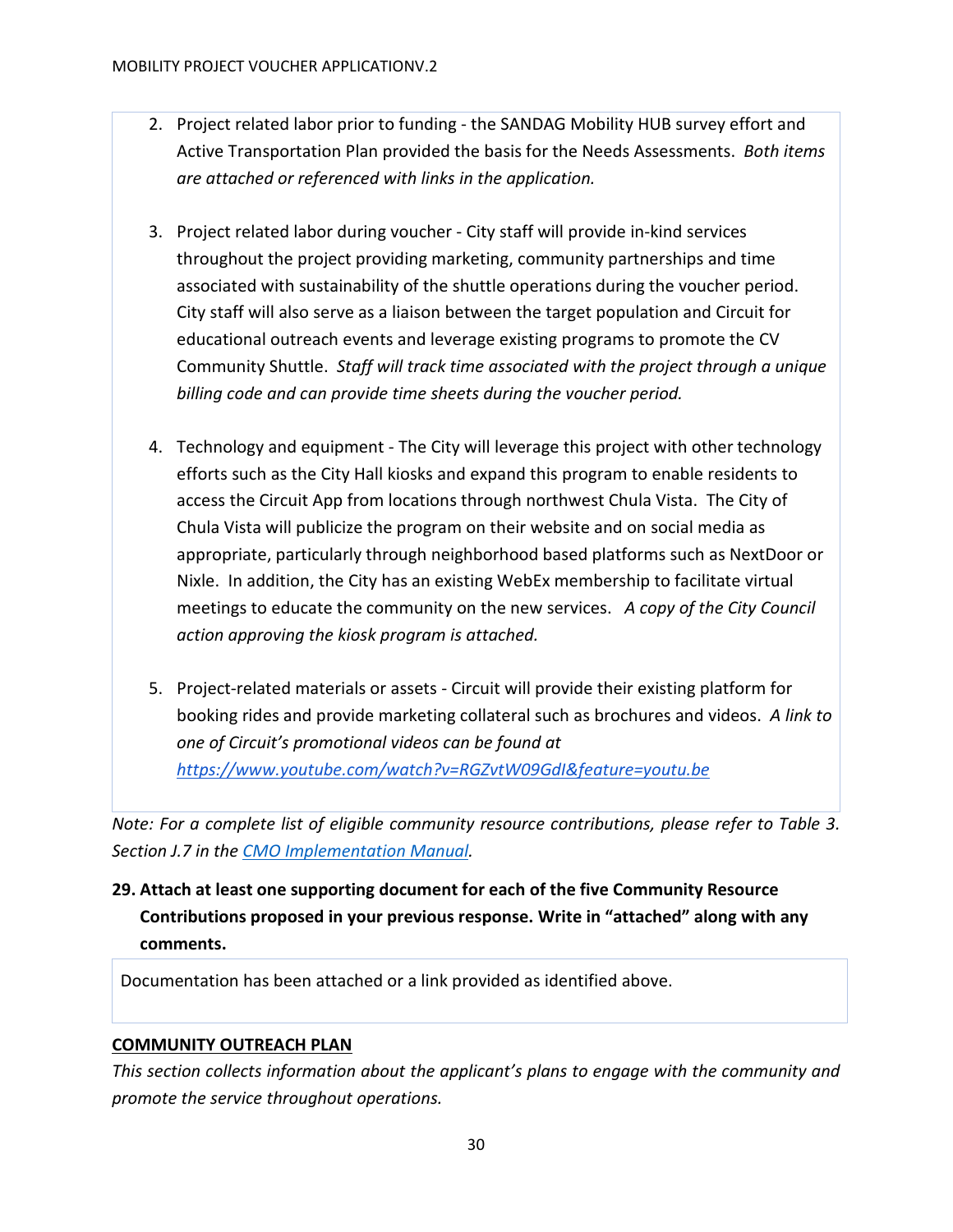- 2. Project related labor prior to funding the SANDAG Mobility HUB survey effort and Active Transportation Plan provided the basis for the Needs Assessments. *Both items are attached or referenced with links in the application.*
- 3. Project related labor during voucher City staff will provide in-kind services throughout the project providing marketing, community partnerships and time associated with sustainability of the shuttle operations during the voucher period. City staff will also serve as a liaison between the target population and Circuit for educational outreach events and leverage existing programs to promote the CV Community Shuttle. *Staff will track time associated with the project through a unique billing code and can provide time sheets during the voucher period.*
- 4. Technology and equipment The City will leverage this project with other technology efforts such as the City Hall kiosks and expand this program to enable residents to access the Circuit App from locations through northwest Chula Vista. The City of Chula Vista will publicize the program on their website and on social media as appropriate, particularly through neighborhood based platforms such as NextDoor or Nixle. In addition, the City has an existing WebEx membership to facilitate virtual meetings to educate the community on the new services. *A copy of the City Council action approving the kiosk program is attached.*
- 5. Project-related materials or assets Circuit will provide their existing platform for booking rides and provide marketing collateral such as brochures and videos. *A link to one of Circuit's promotional videos can be found at <https://www.youtube.com/watch?v=RGZvtW09GdI&feature=youtu.be>*

*Note: For a complete list of eligible community resource contributions, please refer to Table 3. Section J.7 in the [CMO Implementation Manual.](https://www.cleanmobilityoptions.org/implementation-manual/)*

**29. Attach at least one supporting document for each of the five Community Resource Contributions proposed in your previous response. Write in "attached" along with any comments.**

Documentation has been attached or a link provided as identified above.

# <span id="page-29-0"></span>**COMMUNITY OUTREACH PLAN**

*This section collects information about the applicant's plans to engage with the community and promote the service throughout operations.*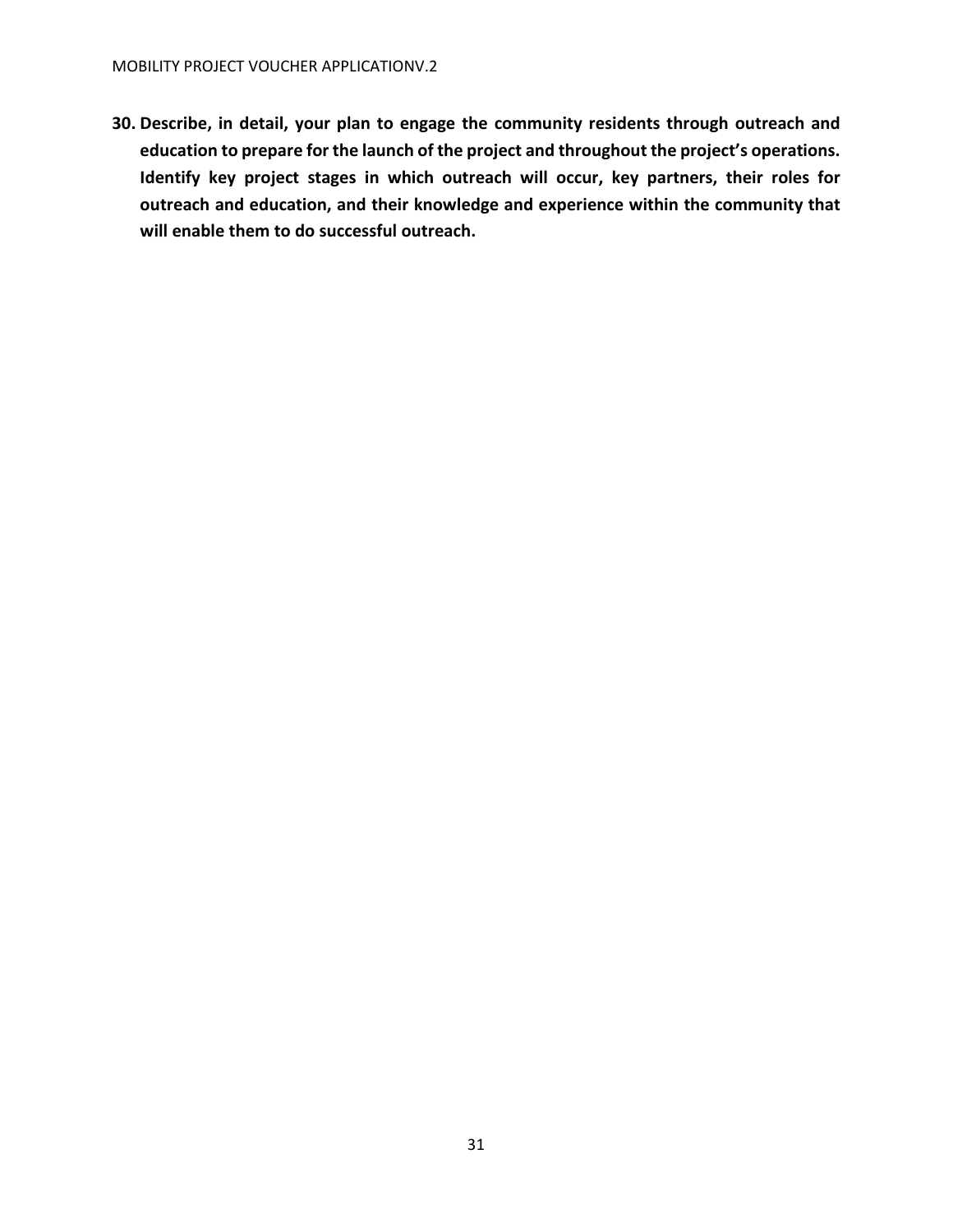**30. Describe, in detail, your plan to engage the community residents through outreach and education to prepare for the launch of the project and throughout the project's operations. Identify key project stages in which outreach will occur, key partners, their roles for outreach and education, and their knowledge and experience within the community that will enable them to do successful outreach.**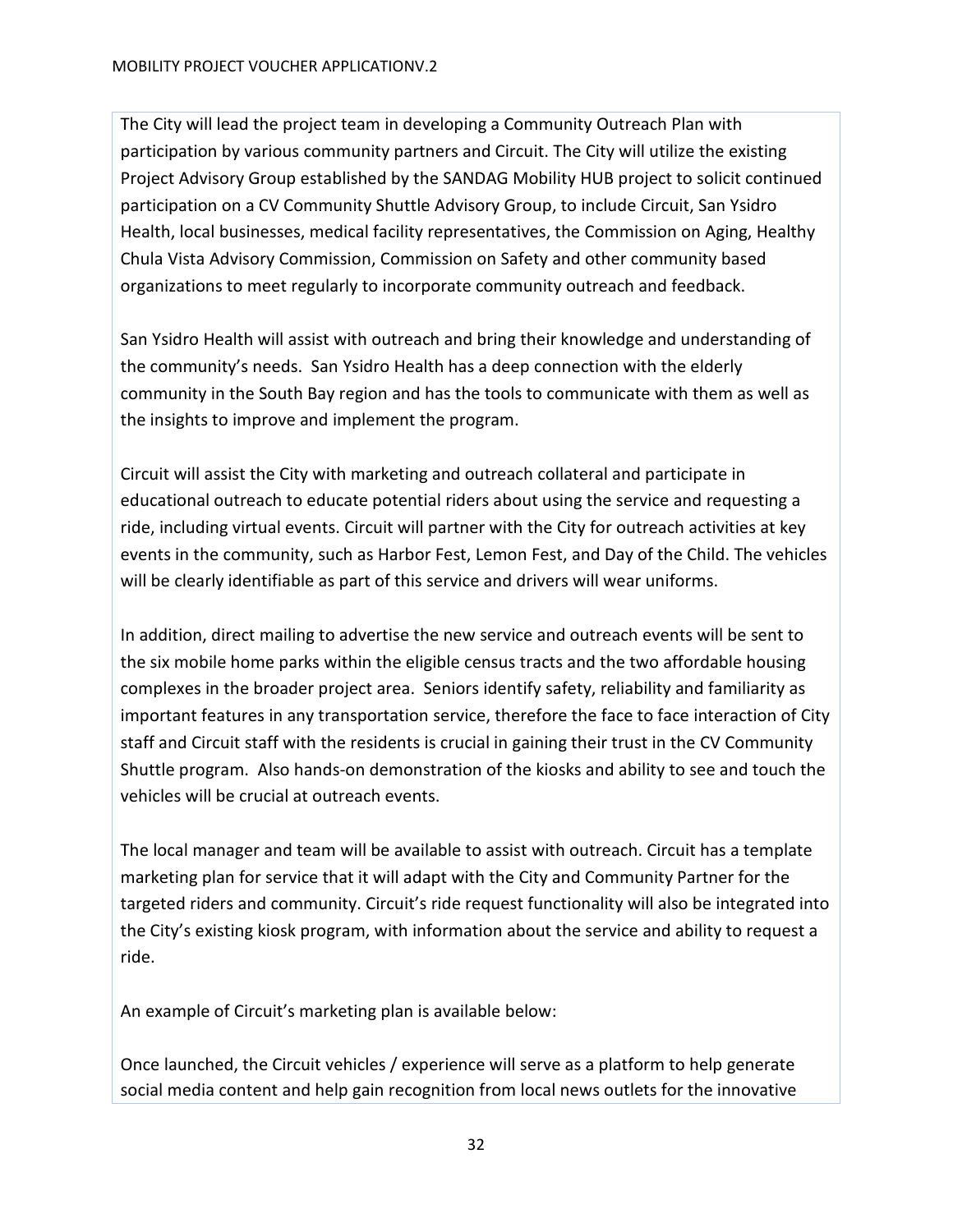The City will lead the project team in developing a Community Outreach Plan with participation by various community partners and Circuit. The City will utilize the existing Project Advisory Group established by the SANDAG Mobility HUB project to solicit continued participation on a CV Community Shuttle Advisory Group, to include Circuit, San Ysidro Health, local businesses, medical facility representatives, the Commission on Aging, Healthy Chula Vista Advisory Commission, Commission on Safety and other community based organizations to meet regularly to incorporate community outreach and feedback.

San Ysidro Health will assist with outreach and bring their knowledge and understanding of the community's needs. San Ysidro Health has a deep connection with the elderly community in the South Bay region and has the tools to communicate with them as well as the insights to improve and implement the program.

Circuit will assist the City with marketing and outreach collateral and participate in educational outreach to educate potential riders about using the service and requesting a ride, including virtual events. Circuit will partner with the City for outreach activities at key events in the community, such as Harbor Fest, Lemon Fest, and Day of the Child. The vehicles will be clearly identifiable as part of this service and drivers will wear uniforms.

In addition, direct mailing to advertise the new service and outreach events will be sent to the six mobile home parks within the eligible census tracts and the two affordable housing complexes in the broader project area. Seniors identify safety, reliability and familiarity as important features in any transportation service, therefore the face to face interaction of City staff and Circuit staff with the residents is crucial in gaining their trust in the CV Community Shuttle program. Also hands-on demonstration of the kiosks and ability to see and touch the vehicles will be crucial at outreach events.

The local manager and team will be available to assist with outreach. Circuit has a template marketing plan for service that it will adapt with the City and Community Partner for the targeted riders and community. Circuit's ride request functionality will also be integrated into the City's existing kiosk program, with information about the service and ability to request a ride.

An example of Circuit's marketing plan is available below:

Once launched, the Circuit vehicles / experience will serve as a platform to help generate social media content and help gain recognition from local news outlets for the innovative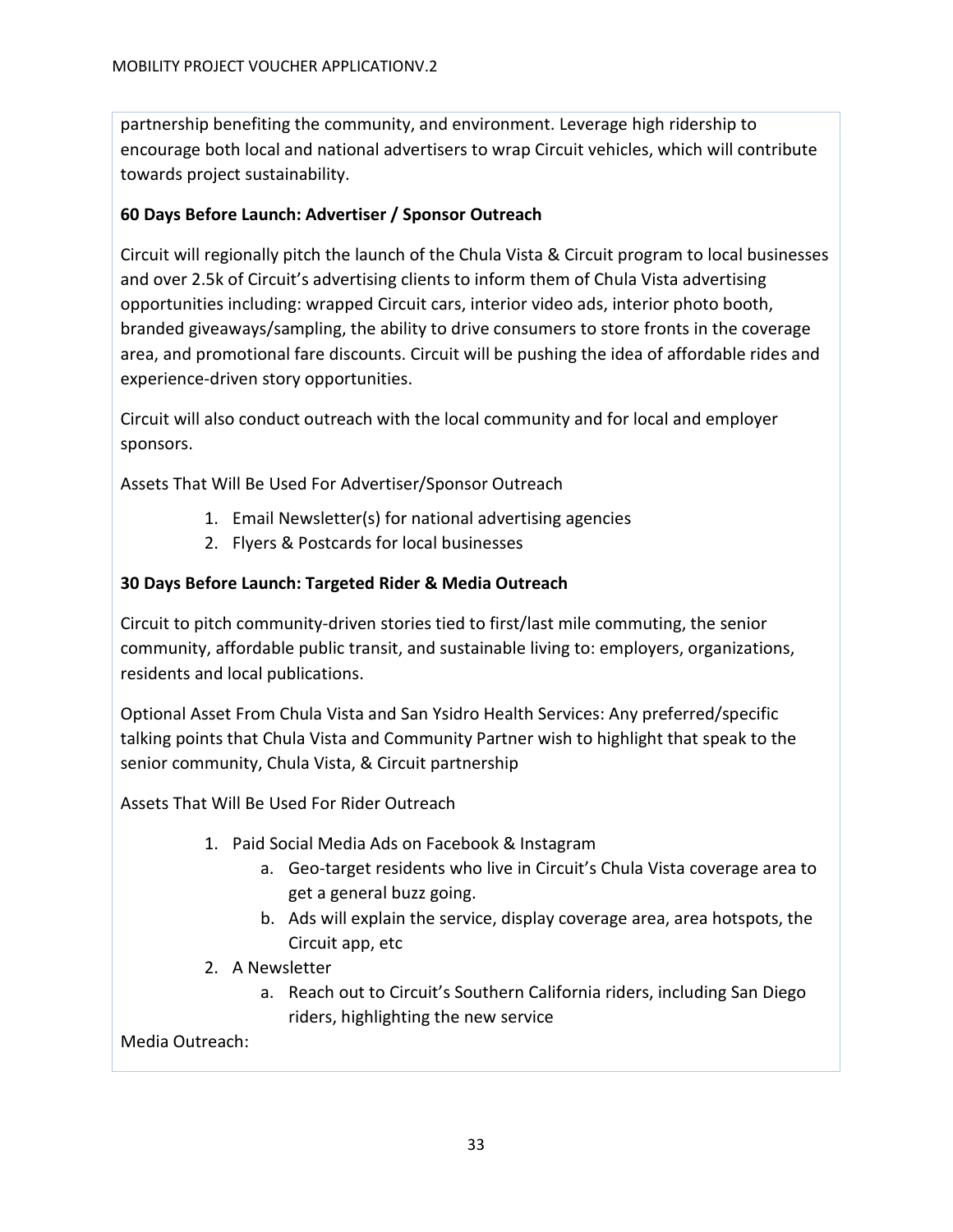partnership benefiting the community, and environment. Leverage high ridership to encourage both local and national advertisers to wrap Circuit vehicles, which will contribute towards project sustainability.

# **60 Days Before Launch: Advertiser / Sponsor Outreach**

Circuit will regionally pitch the launch of the Chula Vista & Circuit program to local businesses and over 2.5k of Circuit's advertising clients to inform them of Chula Vista advertising opportunities including: wrapped Circuit cars, interior video ads, interior photo booth, branded giveaways/sampling, the ability to drive consumers to store fronts in the coverage area, and promotional fare discounts. Circuit will be pushing the idea of affordable rides and experience-driven story opportunities.

Circuit will also conduct outreach with the local community and for local and employer sponsors.

Assets That Will Be Used For Advertiser/Sponsor Outreach

- 1. Email Newsletter(s) for national advertising agencies
- 2. Flyers & Postcards for local businesses

# **30 Days Before Launch: Targeted Rider & Media Outreach**

Circuit to pitch community-driven stories tied to first/last mile commuting, the senior community, affordable public transit, and sustainable living to: employers, organizations, residents and local publications.

Optional Asset From Chula Vista and San Ysidro Health Services: Any preferred/specific talking points that Chula Vista and Community Partner wish to highlight that speak to the senior community, Chula Vista, & Circuit partnership

Assets That Will Be Used For Rider Outreach

- 1. Paid Social Media Ads on Facebook & Instagram
	- a. Geo-target residents who live in Circuit's Chula Vista coverage area to get a general buzz going.
	- b. Ads will explain the service, display coverage area, area hotspots, the Circuit app, etc
- 2. A Newsletter
	- a. Reach out to Circuit's Southern California riders, including San Diego riders, highlighting the new service

Media Outreach: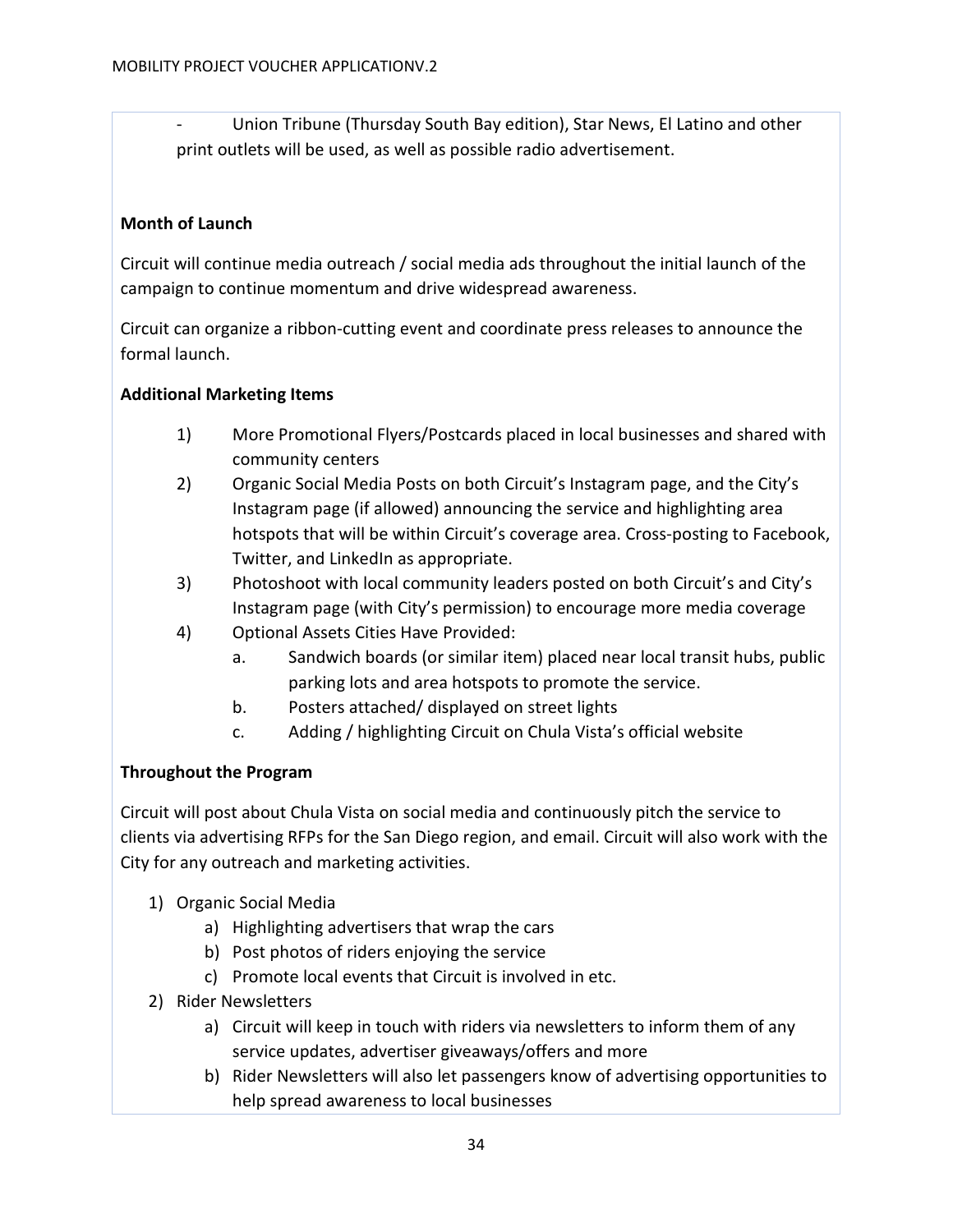- Union Tribune (Thursday South Bay edition), Star News, El Latino and other print outlets will be used, as well as possible radio advertisement.

## **Month of Launch**

Circuit will continue media outreach / social media ads throughout the initial launch of the campaign to continue momentum and drive widespread awareness.

Circuit can organize a ribbon-cutting event and coordinate press releases to announce the formal launch.

## **Additional Marketing Items**

- 1) More Promotional Flyers/Postcards placed in local businesses and shared with community centers
- 2) Organic Social Media Posts on both Circuit's Instagram page, and the City's Instagram page (if allowed) announcing the service and highlighting area hotspots that will be within Circuit's coverage area. Cross-posting to Facebook, Twitter, and LinkedIn as appropriate.
- 3) Photoshoot with local community leaders posted on both Circuit's and City's Instagram page (with City's permission) to encourage more media coverage
- 4) Optional Assets Cities Have Provided:
	- a. Sandwich boards (or similar item) placed near local transit hubs, public parking lots and area hotspots to promote the service.
	- b. Posters attached/ displayed on street lights
	- c. Adding / highlighting Circuit on Chula Vista's official website

# **Throughout the Program**

Circuit will post about Chula Vista on social media and continuously pitch the service to clients via advertising RFPs for the San Diego region, and email. Circuit will also work with the City for any outreach and marketing activities.

- 1) Organic Social Media
	- a) Highlighting advertisers that wrap the cars
	- b) Post photos of riders enjoying the service
	- c) Promote local events that Circuit is involved in etc.
- 2) Rider Newsletters
	- a) Circuit will keep in touch with riders via newsletters to inform them of any service updates, advertiser giveaways/offers and more
	- b) Rider Newsletters will also let passengers know of advertising opportunities to help spread awareness to local businesses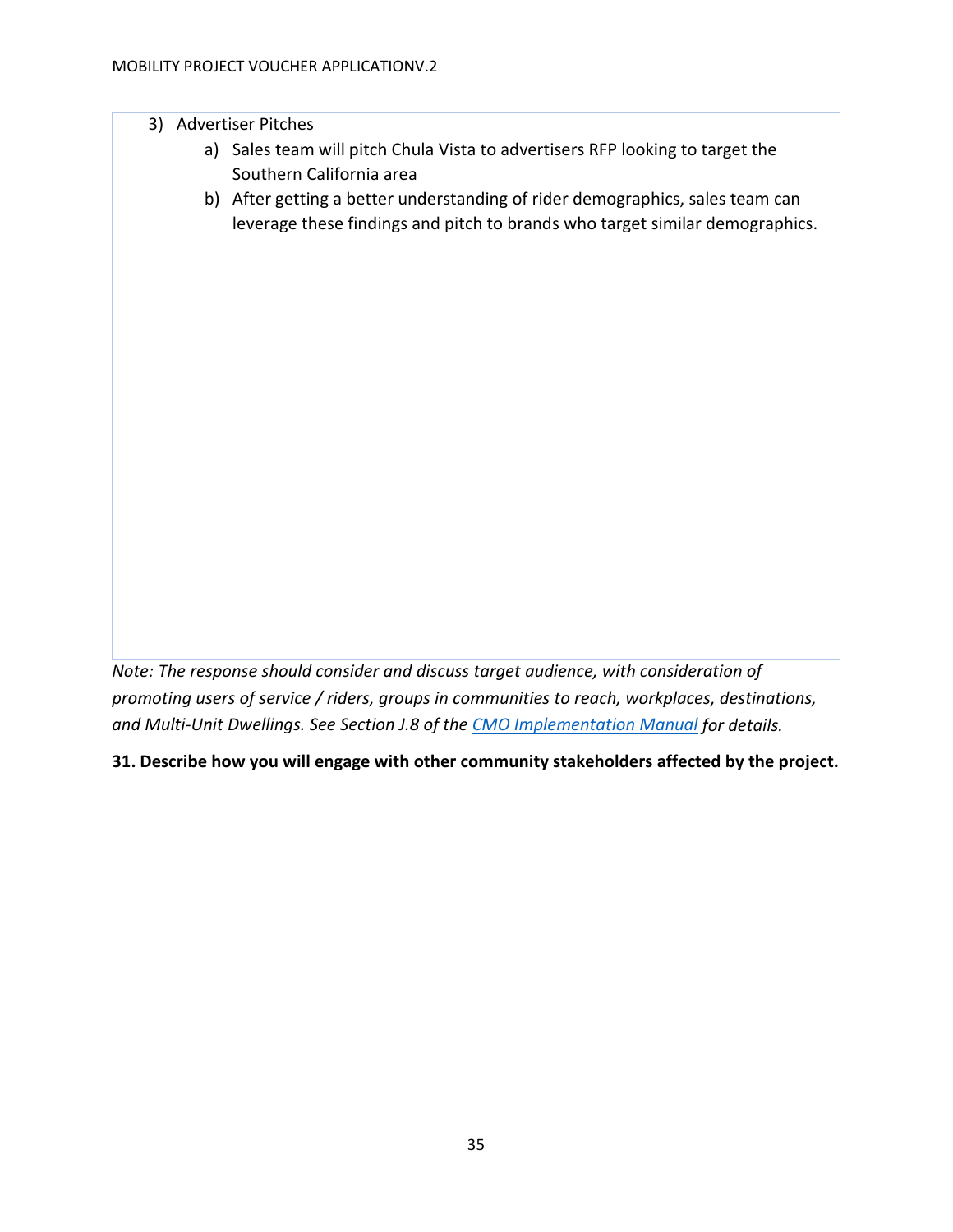## 3) Advertiser Pitches

- a) Sales team will pitch Chula Vista to advertisers RFP looking to target the Southern California area
- b) After getting a better understanding of rider demographics, sales team can leverage these findings and pitch to brands who target similar demographics.

*Note: The response should consider and discuss target audience, with consideration of promoting users of service / riders, groups in communities to reach, workplaces, destinations, and Multi-Unit Dwellings. See Section J.8 of the [CMO Implementation Manual](https://www.cleanmobilityoptions.org/implementation-manual/) for details.*

**31. Describe how you will engage with other community stakeholders affected by the project.**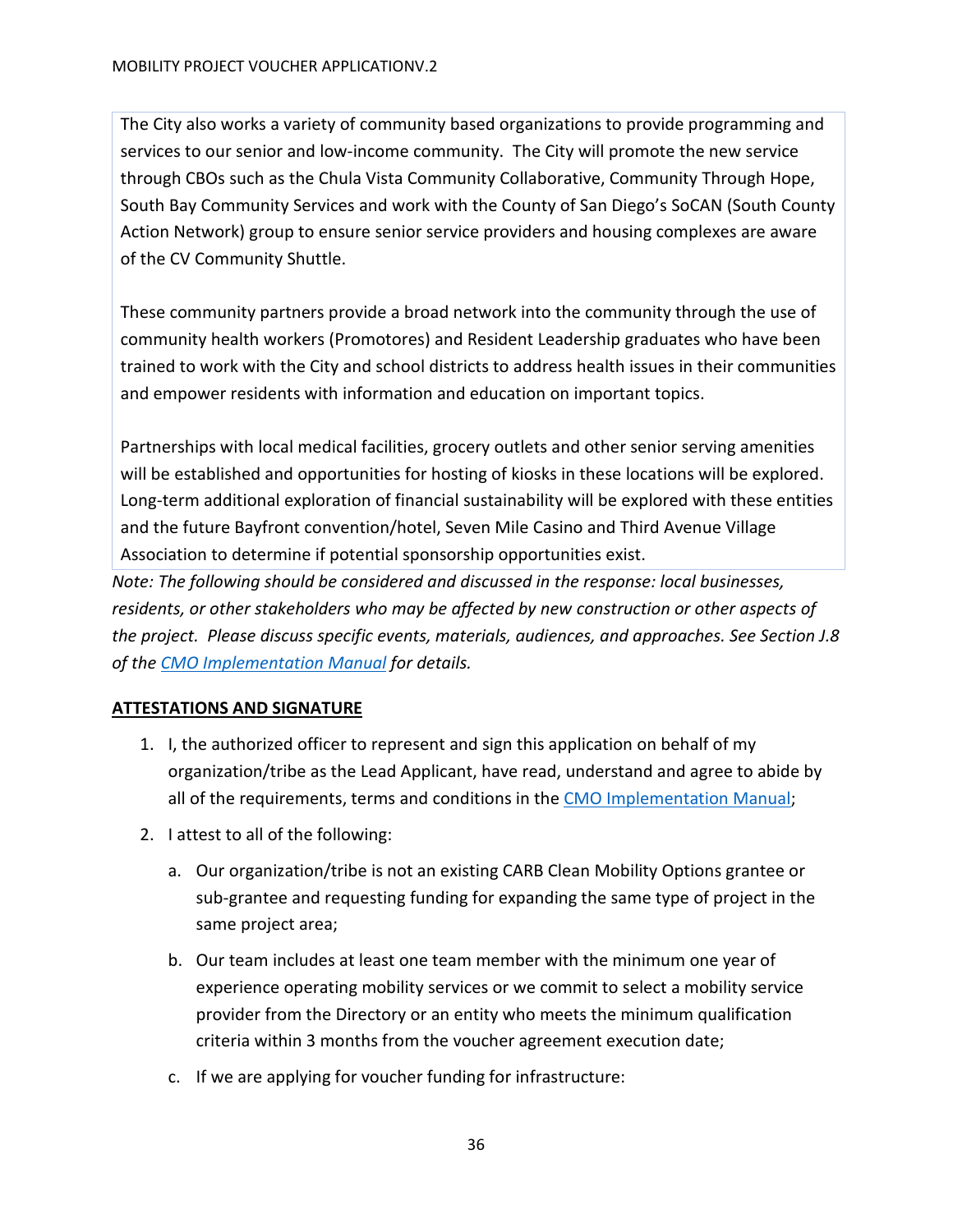The City also works a variety of community based organizations to provide programming and services to our senior and low-income community. The City will promote the new service through CBOs such as the Chula Vista Community Collaborative, Community Through Hope, South Bay Community Services and work with the County of San Diego's SoCAN (South County Action Network) group to ensure senior service providers and housing complexes are aware of the CV Community Shuttle.

These community partners provide a broad network into the community through the use of community health workers (Promotores) and Resident Leadership graduates who have been trained to work with the City and school districts to address health issues in their communities and empower residents with information and education on important topics.

Partnerships with local medical facilities, grocery outlets and other senior serving amenities will be established and opportunities for hosting of kiosks in these locations will be explored. Long-term additional exploration of financial sustainability will be explored with these entities and the future Bayfront convention/hotel, Seven Mile Casino and Third Avenue Village Association to determine if potential sponsorship opportunities exist.

*Note: The following should be considered and discussed in the response: local businesses, residents, or other stakeholders who may be affected by new construction or other aspects of the project. Please discuss specific events, materials, audiences, and approaches. See Section J.8 of the [CMO Implementation Manual](https://www.cleanmobilityoptions.org/implementation-manual/) for details.*

# <span id="page-35-0"></span>**ATTESTATIONS AND SIGNATURE**

- 1. I, the authorized officer to represent and sign this application on behalf of my organization/tribe as the Lead Applicant, have read, understand and agree to abide by all of the requirements, terms and conditions in the [CMO Implementation Manual;](https://www.cleanmobilityoptions.org/implementation-manual/)
- 2. I attest to all of the following:
	- a. Our organization/tribe is not an existing CARB Clean Mobility Options grantee or sub-grantee and requesting funding for expanding the same type of project in the same project area;
	- b. Our team includes at least one team member with the minimum one year of experience operating mobility services or we commit to select a mobility service provider from the Directory or an entity who meets the minimum qualification criteria within 3 months from the voucher agreement execution date;
	- c. If we are applying for voucher funding for infrastructure: